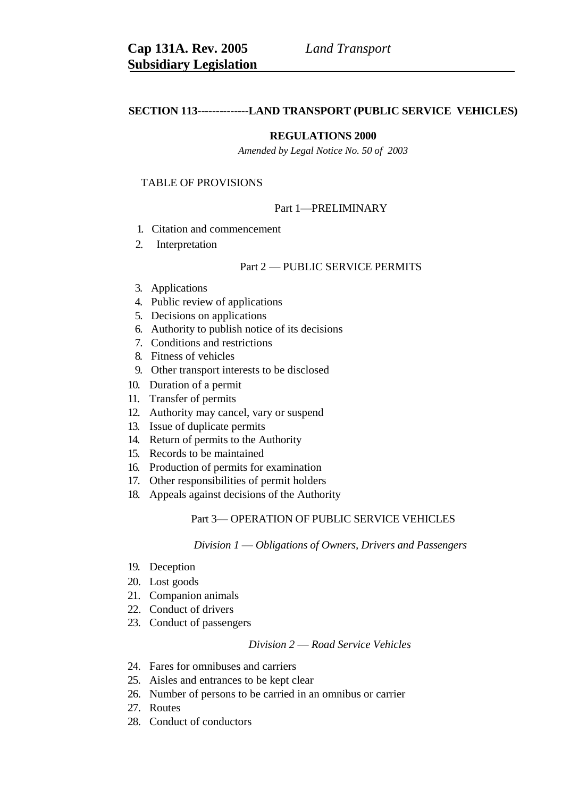# **SECTION 113--------------LAND TRANSPORT (PUBLIC SERVICE VEHICLES)**

# **REGULATIONS 2000**

*Amended by Legal Notice No. 50 of 2003*

# TABLE OF PROVISIONS

# Part 1—PRELIMINARY

- 1. Citation and commencement
- 2. Interpretation

## Part 2 — PUBLIC SERVICE PERMITS

- 3. Applications
- 4. Public review of applications
- 5. Decisions on applications
- 6. Authority to publish notice of its decisions
- 7. Conditions and restrictions
- 8. Fitness of vehicles
- 9. Other transport interests to be disclosed
- 10. Duration of a permit
- 11. Transfer of permits
- 12. Authority may cancel, vary or suspend
- 13. Issue of duplicate permits
- 14. Return of permits to the Authority
- 15. Records to be maintained
- 16. Production of permits for examination
- 17. Other responsibilities of permit holders
- 18. Appeals against decisions of the Authority

# Part 3— OPERATION OF PUBLIC SERVICE VEHICLES

### *Division 1* — *Obligations of Owners, Drivers and Passengers*

- 19. Deception
- 20. Lost goods
- 21. Companion animals
- 22. Conduct of drivers
- 23. Conduct of passengers

# *Division 2* — *Road Service Vehicles*

- 24. Fares for omnibuses and carriers
- 25. Aisles and entrances to be kept clear
- 26. Number of persons to be carried in an omnibus or carrier
- 27. Routes
- 28. Conduct of conductors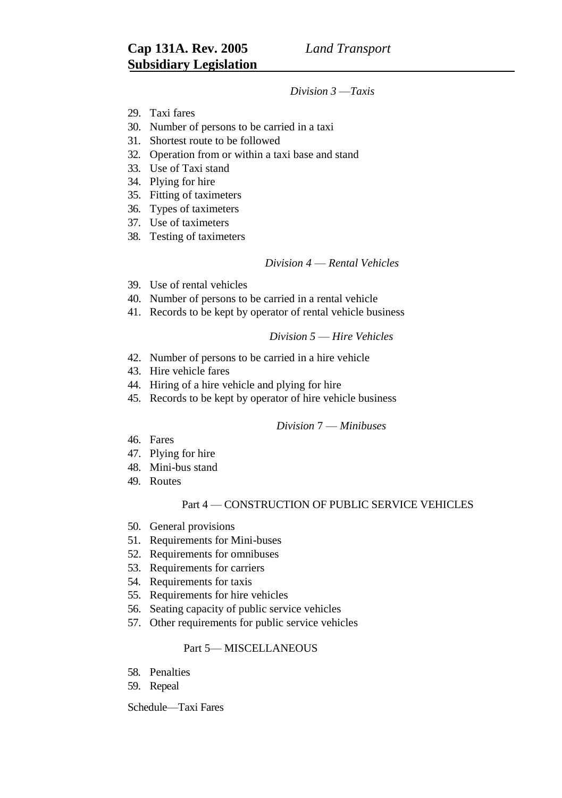# *Division 3* —*Taxis*

- 29. Taxi fares
- 30. Number of persons to be carried in a taxi
- 31. Shortest route to be followed
- 32. Operation from or within a taxi base and stand
- 33. Use of Taxi stand
- 34. Plying for hire
- 35. Fitting of taximeters
- 36. Types of taximeters
- 37. Use of taximeters
- 38. Testing of taximeters

# *Division 4* — *Rental Vehicles*

- 39. Use of rental vehicles
- 40. Number of persons to be carried in a rental vehicle
- 41. Records to be kept by operator of rental vehicle business

# *Division 5* — *Hire Vehicles*

- 42. Number of persons to be carried in a hire vehicle
- 43. Hire vehicle fares
- 44. Hiring of a hire vehicle and plying for hire
- 45. Records to be kept by operator of hire vehicle business

# *Division* 7 — *Minibuses*

- 46. Fares
- 47. Plying for hire
- 48. Mini-bus stand
- 49. Routes

# Part 4 — CONSTRUCTION OF PUBLIC SERVICE VEHICLES

- 50. General provisions
- 51. Requirements for Mini-buses
- 52. Requirements for omnibuses
- 53. Requirements for carriers
- 54. Requirements for taxis
- 55. Requirements for hire vehicles
- 56. Seating capacity of public service vehicles
- 57. Other requirements for public service vehicles

# Part 5— MISCELLANEOUS

- 58. Penalties
- 59. Repeal

Schedule—Taxi Fares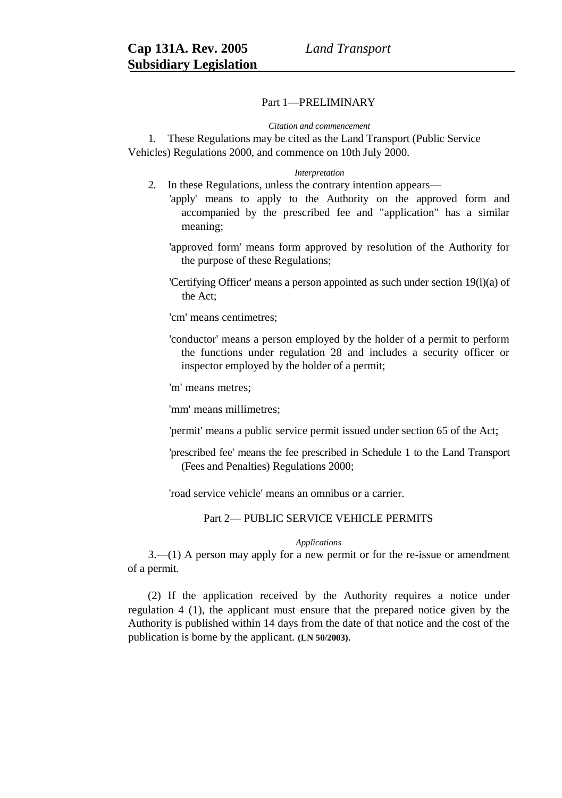# Part 1—PRELIMINARY

#### *Citation and commencement*

1. These Regulations may be cited as the Land Transport (Public Service Vehicles) Regulations 2000, and commence on 10th July 2000.

#### *Interpretation*

- 2. In these Regulations, unless the contrary intention appears—
	- 'apply' means to apply to the Authority on the approved form and accompanied by the prescribed fee and "application" has a similar meaning;
		- 'approved form' means form approved by resolution of the Authority for the purpose of these Regulations;
		- 'Certifying Officer' means a person appointed as such under section 19(l)(a) of the Act;

'cm' means centimetres;

'conductor' means a person employed by the holder of a permit to perform the functions under regulation 28 and includes a security officer or inspector employed by the holder of a permit;

'm' means metres;

'mm' means millimetres;

'permit' means a public service permit issued under section 65 of the Act;

'prescribed fee' means the fee prescribed in Schedule 1 to the Land Transport (Fees and Penalties) Regulations 2000;

'road service vehicle' means an omnibus or a carrier.

Part 2— PUBLIC SERVICE VEHICLE PERMITS

### *Applications*

3.—(1) A person may apply for a new permit or for the re-issue or amendment of a permit.

(2) If the application received by the Authority requires a notice under regulation 4 (1), the applicant must ensure that the prepared notice given by the Authority is published within 14 days from the date of that notice and the cost of the publication is borne by the applicant. **(LN 50/2003)**.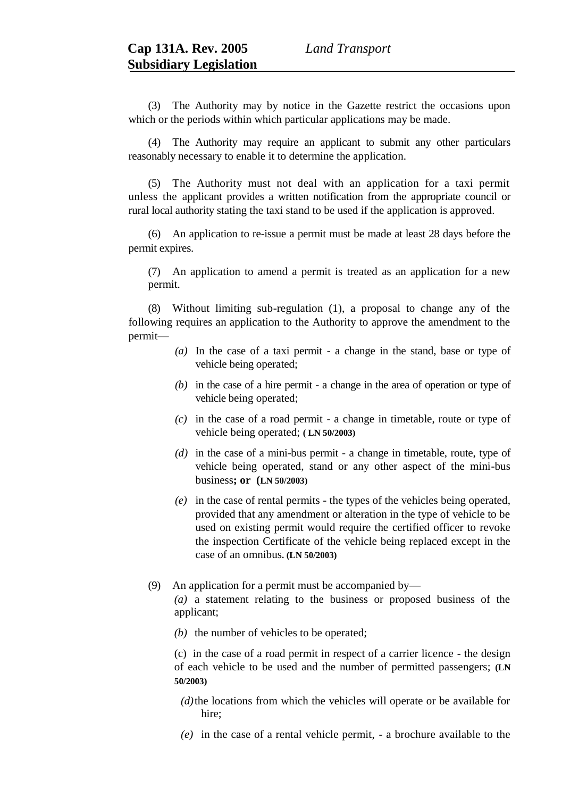(3) The Authority may by notice in the Gazette restrict the occasions upon which or the periods within which particular applications may be made.

(4) The Authority may require an applicant to submit any other particulars reasonably necessary to enable it to determine the application.

(5) The Authority must not deal with an application for a taxi permit unless the applicant provides a written notification from the appropriate council or rural local authority stating the taxi stand to be used if the application is approved.

(6) An application to re-issue a permit must be made at least 28 days before the permit expires.

(7) An application to amend a permit is treated as an application for a new permit.

(8) Without limiting sub-regulation (1), a proposal to change any of the following requires an application to the Authority to approve the amendment to the permit—

- *(a)* In the case of a taxi permit a change in the stand, base or type of vehicle being operated;
- *(b)* in the case of a hire permit a change in the area of operation or type of vehicle being operated;
- *(c)* in the case of a road permit a change in timetable, route or type of vehicle being operated; **( LN 50/2003)**
- *(d)* in the case of a mini-bus permit a change in timetable, route, type of vehicle being operated, stand or any other aspect of the mini-bus business**; or (LN 50/2003)**
- *(e)* in the case of rental permits the types of the vehicles being operated, provided that any amendment or alteration in the type of vehicle to be used on existing permit would require the certified officer to revoke the inspection Certificate of the vehicle being replaced except in the case of an omnibus**. (LN 50/2003)**
- (9) An application for a permit must be accompanied by—

*(a)* a statement relating to the business or proposed business of the applicant;

*(b)* the number of vehicles to be operated;

(c) in the case of a road permit in respect of a carrier licence - the design of each vehicle to be used and the number of permitted passengers; **(LN 50/2003)**

- *(d)*the locations from which the vehicles will operate or be available for hire;
- *(e)* in the case of a rental vehicle permit, a brochure available to the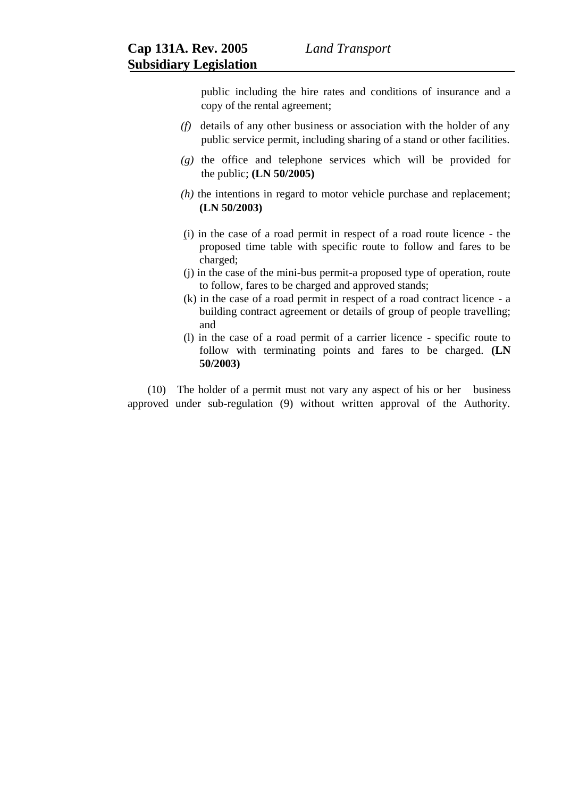public including the hire rates and conditions of insurance and a copy of the rental agreement;

- *(f)* details of any other business or association with the holder of any public service permit, including sharing of a stand or other facilities.
- *(g)* the office and telephone services which will be provided for the public; **(LN 50/2005)**
- *(h)* the intentions in regard to motor vehicle purchase and replacement; **(LN 50/2003)**
- (i) in the case of a road permit in respect of a road route licence the proposed time table with specific route to follow and fares to be charged;
- (j) in the case of the mini-bus permit-a proposed type of operation, route to follow, fares to be charged and approved stands;
- (k) in the case of a road permit in respect of a road contract licence a building contract agreement or details of group of people travelling; and
- (l) in the case of a road permit of a carrier licence specific route to follow with terminating points and fares to be charged. **(LN 50/2003)**

(10) The holder of a permit must not vary any aspect of his or her business approved under sub-regulation (9) without written approval of the Authority.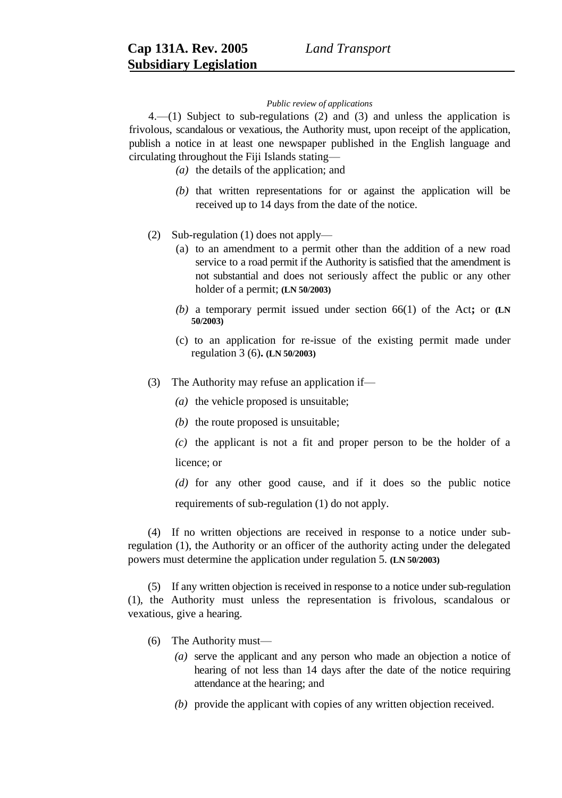### *Public review of applications*

4.—(1) Subject to sub-regulations (2) and (3) and unless the application is frivolous, scandalous or vexatious, the Authority must, upon receipt of the application, publish a notice in at least one newspaper published in the English language and circulating throughout the Fiji Islands stating—

- *(a)* the details of the application; and
- *(b)* that written representations for or against the application will be received up to 14 days from the date of the notice.
- (2) Sub-regulation (1) does not apply—
	- (a) to an amendment to a permit other than the addition of a new road service to a road permit if the Authority is satisfied that the amendment is not substantial and does not seriously affect the public or any other holder of a permit; **(LN 50/2003)**
	- *(b)* a temporary permit issued under section 66(1) of the Act**;** or **(LN 50/2003)**
	- (c) to an application for re-issue of the existing permit made under regulation 3 (6)**. (LN 50/2003)**
- (3) The Authority may refuse an application if—
	- *(a)* the vehicle proposed is unsuitable;
	- *(b)* the route proposed is unsuitable;
	- *(c)* the applicant is not a fit and proper person to be the holder of a licence; or

*(d)* for any other good cause, and if it does so the public notice requirements of sub-regulation (1) do not apply.

(4) If no written objections are received in response to a notice under subregulation (1), the Authority or an officer of the authority acting under the delegated powers must determine the application under regulation 5. **(LN 50/2003)**

(5) If any written objection is received in response to a notice under sub-regulation (1), the Authority must unless the representation is frivolous, scandalous or vexatious, give a hearing.

- (6) The Authority must—
	- *(a)* serve the applicant and any person who made an objection a notice of hearing of not less than 14 days after the date of the notice requiring attendance at the hearing; and
	- *(b)* provide the applicant with copies of any written objection received.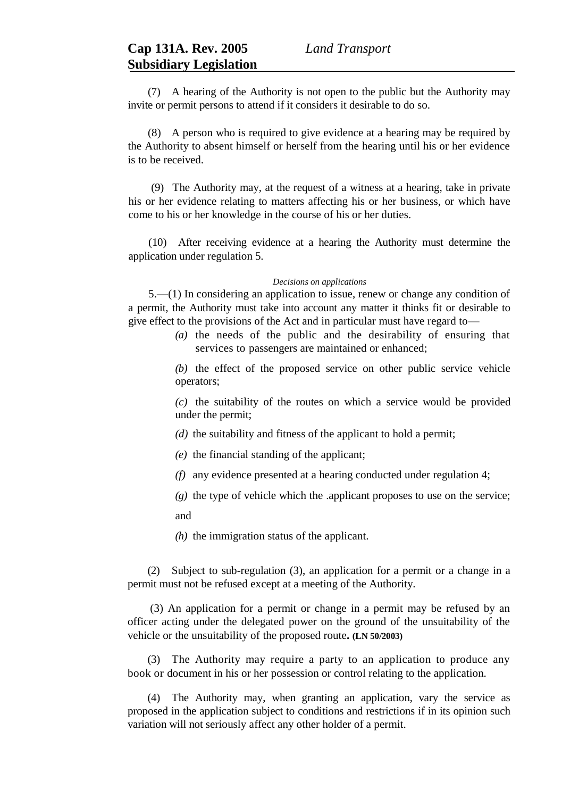(7) A hearing of the Authority is not open to the public but the Authority may invite or permit persons to attend if it considers it desirable to do so.

(8) A person who is required to give evidence at a hearing may be required by the Authority to absent himself or herself from the hearing until his or her evidence is to be received.

(9) The Authority may, at the request of a witness at a hearing, take in private his or her evidence relating to matters affecting his or her business, or which have come to his or her knowledge in the course of his or her duties.

(10) After receiving evidence at a hearing the Authority must determine the application under regulation 5.

### *Decisions on applications*

5.—(1) In considering an application to issue, renew or change any condition of a permit, the Authority must take into account any matter it thinks fit or desirable to give effect to the provisions of the Act and in particular must have regard to—

> *(a)* the needs of the public and the desirability of ensuring that services to passengers are maintained or enhanced;

> *(b)* the effect of the proposed service on other public service vehicle operators;

> *(c)* the suitability of the routes on which a service would be provided under the permit;

*(d)* the suitability and fitness of the applicant to hold a permit;

- *(e)* the financial standing of the applicant;
- *(f)* any evidence presented at a hearing conducted under regulation 4;

*(g)* the type of vehicle which the .applicant proposes to use on the service;

and

*(h)* the immigration status of the applicant.

(2) Subject to sub-regulation (3), an application for a permit or a change in a permit must not be refused except at a meeting of the Authority.

 (3) An application for a permit or change in a permit may be refused by an officer acting under the delegated power on the ground of the unsuitability of the vehicle or the unsuitability of the proposed route**. (LN 50/2003)**

(3) The Authority may require a party to an application to produce any book or document in his or her possession or control relating to the application.

(4) The Authority may, when granting an application, vary the service as proposed in the application subject to conditions and restrictions if in its opinion such variation will not seriously affect any other holder of a permit.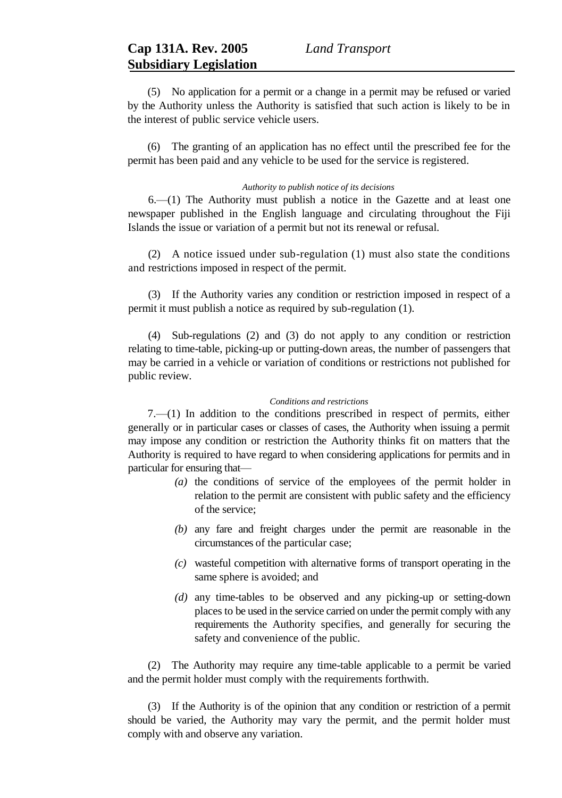(5) No application for a permit or a change in a permit may be refused or varied by the Authority unless the Authority is satisfied that such action is likely to be in the interest of public service vehicle users.

(6) The granting of an application has no effect until the prescribed fee for the permit has been paid and any vehicle to be used for the service is registered.

# *Authority to publish notice of its decisions*

6.—(1) The Authority must publish a notice in the Gazette and at least one newspaper published in the English language and circulating throughout the Fiji Islands the issue or variation of a permit but not its renewal or refusal.

(2) A notice issued under sub-regulation (1) must also state the conditions and restrictions imposed in respect of the permit.

(3) If the Authority varies any condition or restriction imposed in respect of a permit it must publish a notice as required by sub-regulation (1).

(4) Sub-regulations (2) and (3) do not apply to any condition or restriction relating to time-table, picking-up or putting-down areas, the number of passengers that may be carried in a vehicle or variation of conditions or restrictions not published for public review.

## *Conditions and restrictions*

 $7.$ — $(1)$  In addition to the conditions prescribed in respect of permits, either generally or in particular cases or classes of cases, the Authority when issuing a permit may impose any condition or restriction the Authority thinks fit on matters that the Authority is required to have regard to when considering applications for permits and in particular for ensuring that—

- *(a)* the conditions of service of the employees of the permit holder in relation to the permit are consistent with public safety and the efficiency of the service;
- *(b)* any fare and freight charges under the permit are reasonable in the circumstances of the particular case;
- *(c)* wasteful competition with alternative forms of transport operating in the same sphere is avoided; and
- *(d)* any time-tables to be observed and any picking-up or setting-down places to be used in the service carried on under the permit comply with any requirements the Authority specifies, and generally for securing the safety and convenience of the public.

(2) The Authority may require any time-table applicable to a permit be varied and the permit holder must comply with the requirements forthwith.

(3) If the Authority is of the opinion that any condition or restriction of a permit should be varied, the Authority may vary the permit, and the permit holder must comply with and observe any variation.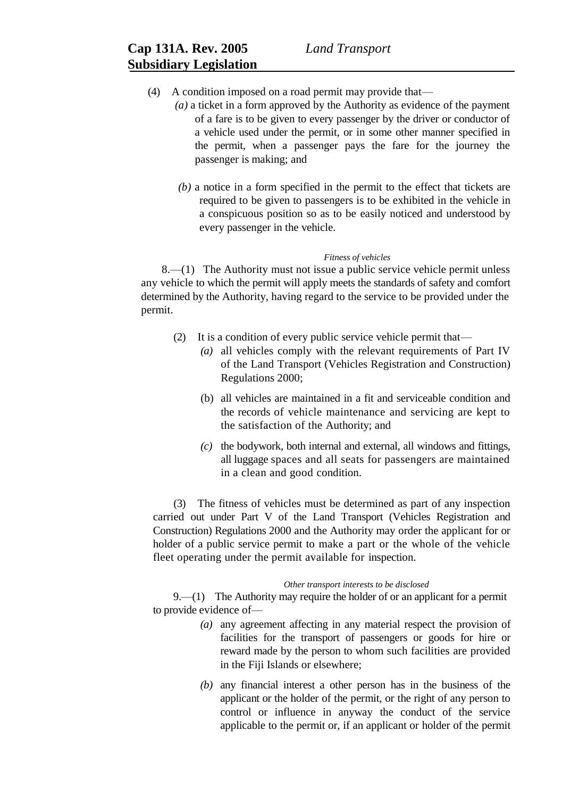- (4) A condition imposed on a road permit may provide that—
	- *(a)* a ticket in a form approved by the Authority as evidence of the payment of a fare is to be given to every passenger by the driver or conductor of a vehicle used under the permit, or in some other manner specified in the permit, when a passenger pays the fare for the journey the passenger is making; and
	- *(b)* a notice in a form specified in the permit to the effect that tickets are required to be given to passengers is to be exhibited in the vehicle in a conspicuous position so as to be easily noticed and understood by every passenger in the vehicle.

### *Fitness of vehicles*

8.—(1) The Authority must not issue a public service vehicle permit unless any vehicle to which the permit will apply meets the standards of safety and comfort determined by the Authority, having regard to the service to be provided under the permit.

- (2) It is a condition of every public service vehicle permit that—
	- *(a)* all vehicles comply with the relevant requirements of Part IV of the Land Transport (Vehicles Registration and Construction) Regulations 2000;
	- (b) all vehicles are maintained in a fit and serviceable condition and the records of vehicle maintenance and servicing are kept to the satisfaction of the Authority; and
	- *(c)* the bodywork, both internal and external, all windows and fittings, all luggage spaces and all seats for passengers are maintained in a clean and good condition.

(3) The fitness of vehicles must be determined as part of any inspection carried out under Part V of the Land Transport (Vehicles Registration and Construction) Regulations 2000 and the Authority may order the applicant for or holder of a public service permit to make a part or the whole of the vehicle fleet operating under the permit available for inspection.

#### *Other transport interests to be disclosed*

9.—(1) The Authority may require the holder of or an applicant for a permit to provide evidence of—

- *(a)* any agreement affecting in any material respect the provision of facilities for the transport of passengers or goods for hire or reward made by the person to whom such facilities are provided in the Fiji Islands or elsewhere;
- *(b)* any financial interest a other person has in the business of the applicant or the holder of the permit, or the right of any person to control or influence in anyway the conduct of the service applicable to the permit or, if an applicant or holder of the permit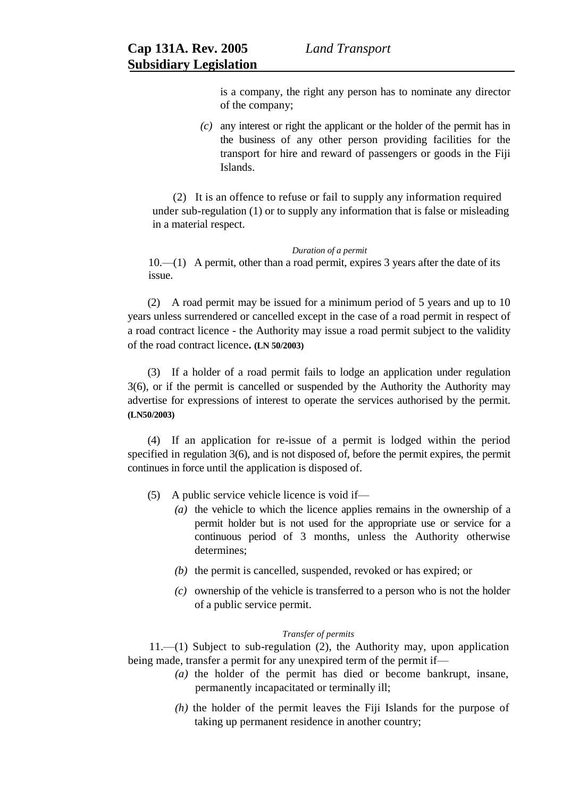is a company, the right any person has to nominate any director of the company;

*(c)* any interest or right the applicant or the holder of the permit has in the business of any other person providing facilities for the transport for hire and reward of passengers or goods in the Fiji Islands.

(2) It is an offence to refuse or fail to supply any information required under sub-regulation (1) or to supply any information that is false or misleading in a material respect.

#### *Duration of a permit*

10.—(1) A permit, other than a road permit, expires 3 years after the date of its issue.

(2) A road permit may be issued for a minimum period of 5 years and up to 10 years unless surrendered or cancelled except in the case of a road permit in respect of a road contract licence - the Authority may issue a road permit subject to the validity of the road contract licence**. (LN 50/2003)**

(3) If a holder of a road permit fails to lodge an application under regulation 3(6), or if the permit is cancelled or suspended by the Authority the Authority may advertise for expressions of interest to operate the services authorised by the permit. **(LN50/2003)**

(4) If an application for re-issue of a permit is lodged within the period specified in regulation 3(6), and is not disposed of, before the permit expires, the permit continues in force until the application is disposed of.

- (5) A public service vehicle licence is void if—
	- *(a)* the vehicle to which the licence applies remains in the ownership of a permit holder but is not used for the appropriate use or service for a continuous period of 3 months, unless the Authority otherwise determines;
	- *(b)* the permit is cancelled, suspended, revoked or has expired; or
	- *(c)* ownership of the vehicle is transferred to a person who is not the holder of a public service permit.

# *Transfer of permits*

11.—(1) Subject to sub-regulation (2), the Authority may, upon application being made, transfer a permit for any unexpired term of the permit if—

- *(a)* the holder of the permit has died or become bankrupt, insane, permanently incapacitated or terminally ill;
- *(h)* the holder of the permit leaves the Fiji Islands for the purpose of taking up permanent residence in another country;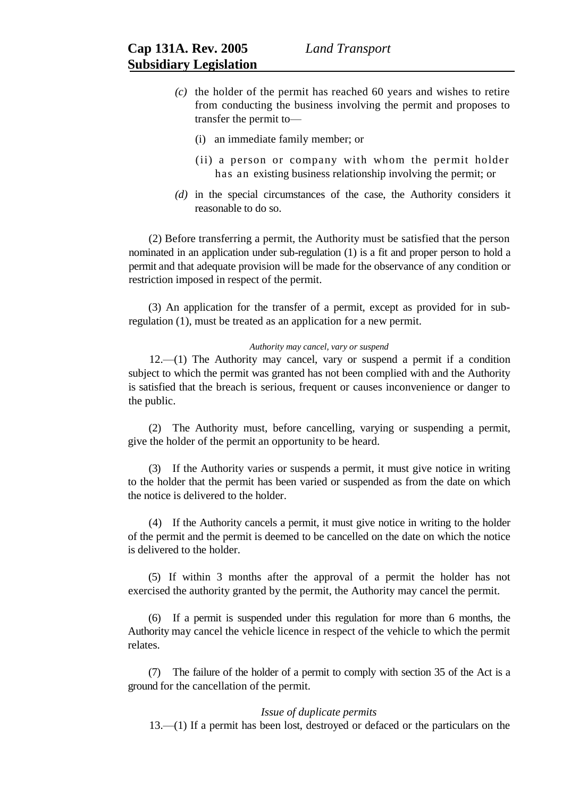- *(c)* the holder of the permit has reached 60 years and wishes to retire from conducting the business involving the permit and proposes to transfer the permit to—
	- (i) an immediate family member; or
	- (ii) a person or company with whom the permit holder has an existing business relationship involving the permit; or
- *(d)* in the special circumstances of the case, the Authority considers it reasonable to do so.

(2) Before transferring a permit, the Authority must be satisfied that the person nominated in an application under sub-regulation (1) is a fit and proper person to hold a permit and that adequate provision will be made for the observance of any condition or restriction imposed in respect of the permit.

(3) An application for the transfer of a permit, except as provided for in subregulation (1), must be treated as an application for a new permit.

# *Authority may cancel, vary or suspend*

12.—(1) The Authority may cancel, vary or suspend a permit if a condition subject to which the permit was granted has not been complied with and the Authority is satisfied that the breach is serious, frequent or causes inconvenience or danger to the public.

(2) The Authority must, before cancelling, varying or suspending a permit, give the holder of the permit an opportunity to be heard.

(3) If the Authority varies or suspends a permit, it must give notice in writing to the holder that the permit has been varied or suspended as from the date on which the notice is delivered to the holder.

(4) If the Authority cancels a permit, it must give notice in writing to the holder of the permit and the permit is deemed to be cancelled on the date on which the notice is delivered to the holder.

(5) If within 3 months after the approval of a permit the holder has not exercised the authority granted by the permit, the Authority may cancel the permit.

(6) If a permit is suspended under this regulation for more than 6 months, the Authority may cancel the vehicle licence in respect of the vehicle to which the permit relates.

(7) The failure of the holder of a permit to comply with section 35 of the Act is a ground for the cancellation of the permit.

## *Issue of duplicate permits*

13.—(1) If a permit has been lost, destroyed or defaced or the particulars on the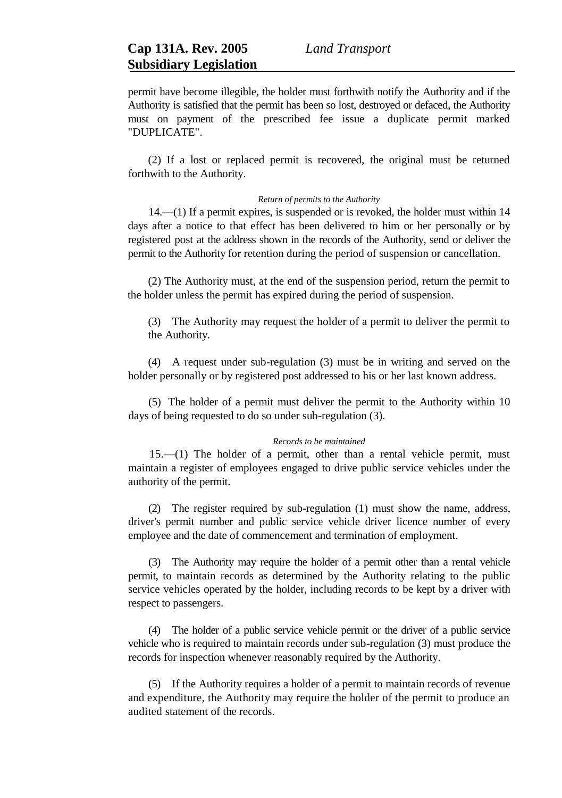permit have become illegible, the holder must forthwith notify the Authority and if the Authority is satisfied that the permit has been so lost, destroyed or defaced, the Authority must on payment of the prescribed fee issue a duplicate permit marked "DUPLICATE".

(2) If a lost or replaced permit is recovered, the original must be returned forthwith to the Authority.

## *Return of permits to the Authority*

14.—(1) If a permit expires, is suspended or is revoked, the holder must within 14 days after a notice to that effect has been delivered to him or her personally or by registered post at the address shown in the records of the Authority, send or deliver the permit to the Authority for retention during the period of suspension or cancellation.

(2) The Authority must, at the end of the suspension period, return the permit to the holder unless the permit has expired during the period of suspension.

(3) The Authority may request the holder of a permit to deliver the permit to the Authority.

(4) A request under sub-regulation (3) must be in writing and served on the holder personally or by registered post addressed to his or her last known address.

(5) The holder of a permit must deliver the permit to the Authority within 10 days of being requested to do so under sub-regulation (3).

### *Records to be maintained*

15.—(1) The holder of a permit, other than a rental vehicle permit, must maintain a register of employees engaged to drive public service vehicles under the authority of the permit.

(2) The register required by sub-regulation (1) must show the name, address, driver's permit number and public service vehicle driver licence number of every employee and the date of commencement and termination of employment.

(3) The Authority may require the holder of a permit other than a rental vehicle permit, to maintain records as determined by the Authority relating to the public service vehicles operated by the holder, including records to be kept by a driver with respect to passengers.

(4) The holder of a public service vehicle permit or the driver of a public service vehicle who is required to maintain records under sub-regulation (3) must produce the records for inspection whenever reasonably required by the Authority.

(5) If the Authority requires a holder of a permit to maintain records of revenue and expenditure, the Authority may require the holder of the permit to produce an audited statement of the records.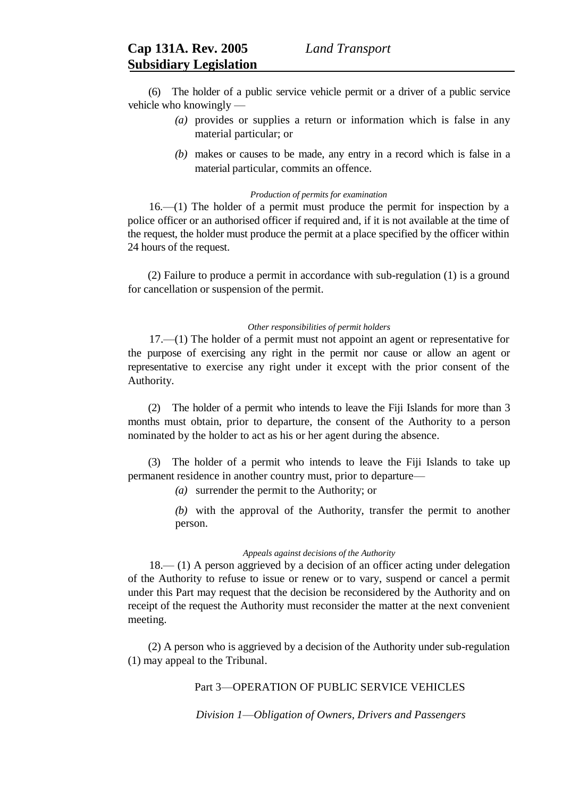(6) The holder of a public service vehicle permit or a driver of a public service vehicle who knowingly —

- *(a)* provides or supplies a return or information which is false in any material particular; or
- *(b)* makes or causes to be made, any entry in a record which is false in a material particular, commits an offence.

#### *Production of permits for examination*

16.—(1) The holder of a permit must produce the permit for inspection by a police officer or an authorised officer if required and, if it is not available at the time of the request, the holder must produce the permit at a place specified by the officer within 24 hours of the request.

(2) Failure to produce a permit in accordance with sub-regulation (1) is a ground for cancellation or suspension of the permit.

#### *Other responsibilities of permit holders*

17.—(1) The holder of a permit must not appoint an agent or representative for the purpose of exercising any right in the permit nor cause or allow an agent or representative to exercise any right under it except with the prior consent of the Authority.

(2) The holder of a permit who intends to leave the Fiji Islands for more than 3 months must obtain, prior to departure, the consent of the Authority to a person nominated by the holder to act as his or her agent during the absence.

(3) The holder of a permit who intends to leave the Fiji Islands to take up permanent residence in another country must, prior to departure—

*(a)* surrender the permit to the Authority; or

*(b)* with the approval of the Authority, transfer the permit to another person.

## *Appeals against decisions of the Authority*

18.— (1) A person aggrieved by a decision of an officer acting under delegation of the Authority to refuse to issue or renew or to vary, suspend or cancel a permit under this Part may request that the decision be reconsidered by the Authority and on receipt of the request the Authority must reconsider the matter at the next convenient meeting.

(2) A person who is aggrieved by a decision of the Authority under sub-regulation (1) may appeal to the Tribunal.

# Part 3—OPERATION OF PUBLIC SERVICE VEHICLES

*Division 1*—*Obligation of Owners, Drivers and Passengers*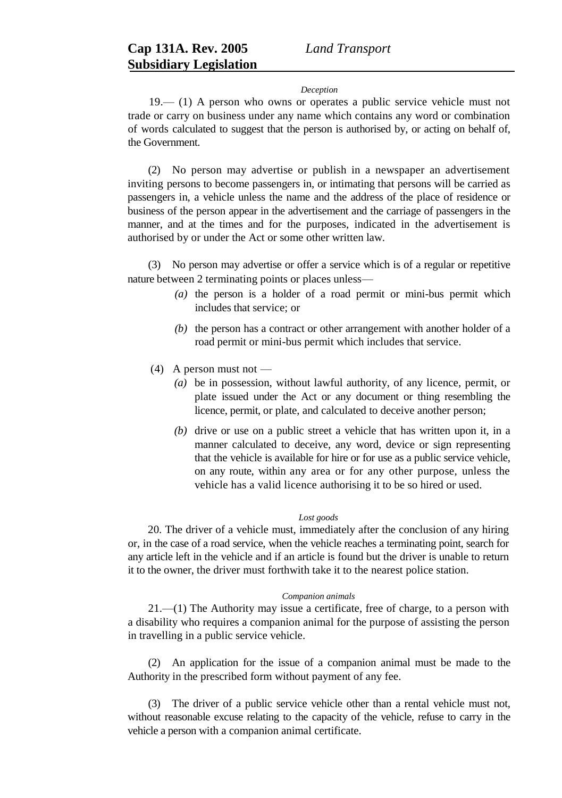#### *Deception*

19.— (1) A person who owns or operates a public service vehicle must not trade or carry on business under any name which contains any word or combination of words calculated to suggest that the person is authorised by, or acting on behalf of, the Government.

(2) No person may advertise or publish in a newspaper an advertisement inviting persons to become passengers in, or intimating that persons will be carried as passengers in, a vehicle unless the name and the address of the place of residence or business of the person appear in the advertisement and the carriage of passengers in the manner, and at the times and for the purposes, indicated in the advertisement is authorised by or under the Act or some other written law.

(3) No person may advertise or offer a service which is of a regular or repetitive nature between 2 terminating points or places unless—

- *(a)* the person is a holder of a road permit or mini-bus permit which includes that service; or
- *(b)* the person has a contract or other arrangement with another holder of a road permit or mini-bus permit which includes that service.
- $(4)$  A person must not
	- *(a)* be in possession, without lawful authority, of any licence, permit, or plate issued under the Act or any document or thing resembling the licence, permit, or plate, and calculated to deceive another person;
	- *(b)* drive or use on a public street a vehicle that has written upon it, in a manner calculated to deceive, any word, device or sign representing that the vehicle is available for hire or for use as a public service vehicle, on any route, within any area or for any other purpose, unless the vehicle has a valid licence authorising it to be so hired or used.

## *Lost goods*

20. The driver of a vehicle must, immediately after the conclusion of any hiring or, in the case of a road service, when the vehicle reaches a terminating point, search for any article left in the vehicle and if an article is found but the driver is unable to return it to the owner, the driver must forthwith take it to the nearest police station.

## *Companion animals*

21.—(1) The Authority may issue a certificate, free of charge, to a person with a disability who requires a companion animal for the purpose of assisting the person in travelling in a public service vehicle.

(2) An application for the issue of a companion animal must be made to the Authority in the prescribed form without payment of any fee.

(3) The driver of a public service vehicle other than a rental vehicle must not, without reasonable excuse relating to the capacity of the vehicle, refuse to carry in the vehicle a person with a companion animal certificate.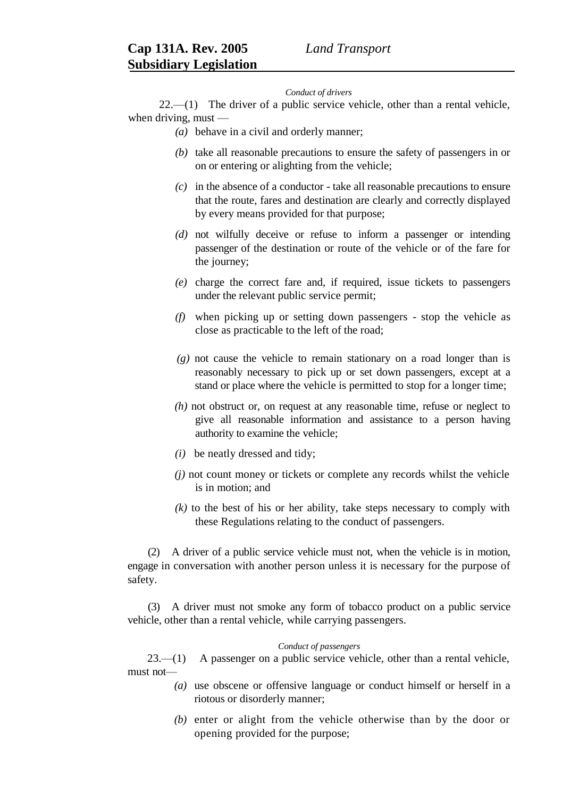#### *Conduct of drivers*

 $22$ — $(1)$  The driver of a public service vehicle, other than a rental vehicle, when driving, must —

*(a)* behave in a civil and orderly manner;

- *(b)* take all reasonable precautions to ensure the safety of passengers in or on or entering or alighting from the vehicle;
- *(c)* in the absence of a conductor take all reasonable precautions to ensure that the route, fares and destination are clearly and correctly displayed by every means provided for that purpose;
- *(d)* not wilfully deceive or refuse to inform a passenger or intending passenger of the destination or route of the vehicle or of the fare for the journey;
- *(e)* charge the correct fare and, if required, issue tickets to passengers under the relevant public service permit;
- *(f)* when picking up or setting down passengers stop the vehicle as close as practicable to the left of the road;
- *(g)* not cause the vehicle to remain stationary on a road longer than is reasonably necessary to pick up or set down passengers, except at a stand or place where the vehicle is permitted to stop for a longer time;
- *(h)* not obstruct or, on request at any reasonable time, refuse or neglect to give all reasonable information and assistance to a person having authority to examine the vehicle;
- *(i)* be neatly dressed and tidy;
- *(j)* not count money or tickets or complete any records whilst the vehicle is in motion; and
- *(k)* to the best of his or her ability, take steps necessary to comply with these Regulations relating to the conduct of passengers.

(2) A driver of a public service vehicle must not, when the vehicle is in motion, engage in conversation with another person unless it is necessary for the purpose of safety.

(3) A driver must not smoke any form of tobacco product on a public service vehicle, other than a rental vehicle, while carrying passengers.

## *Conduct of passengers*

23.—(1) A passenger on a public service vehicle, other than a rental vehicle, must not—

- *(a)* use obscene or offensive language or conduct himself or herself in a riotous or disorderly manner;
- *(b)* enter or alight from the vehicle otherwise than by the door or opening provided for the purpose;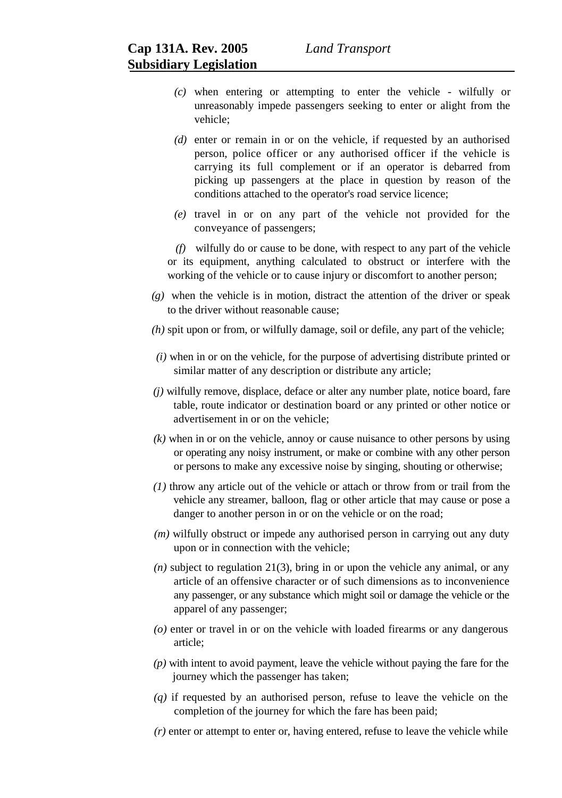- *(c)* when entering or attempting to enter the vehicle wilfully or unreasonably impede passengers seeking to enter or alight from the vehicle;
- *(d)* enter or remain in or on the vehicle, if requested by an authorised person, police officer or any authorised officer if the vehicle is carrying its full complement or if an operator is debarred from picking up passengers at the place in question by reason of the conditions attached to the operator's road service licence;
- *(e)* travel in or on any part of the vehicle not provided for the conveyance of passengers;

*(f)* wilfully do or cause to be done, with respect to any part of the vehicle or its equipment, anything calculated to obstruct or interfere with the working of the vehicle or to cause injury or discomfort to another person;

- *(g)* when the vehicle is in motion, distract the attention of the driver or speak to the driver without reasonable cause;
- *(h)* spit upon or from, or wilfully damage, soil or defile, any part of the vehicle;
- *(i)* when in or on the vehicle, for the purpose of advertising distribute printed or similar matter of any description or distribute any article;
- *(j)* wilfully remove, displace, deface or alter any number plate, notice board, fare table, route indicator or destination board or any printed or other notice or advertisement in or on the vehicle;
- *(k)* when in or on the vehicle, annoy or cause nuisance to other persons by using or operating any noisy instrument, or make or combine with any other person or persons to make any excessive noise by singing, shouting or otherwise;
- *(1)* throw any article out of the vehicle or attach or throw from or trail from the vehicle any streamer, balloon, flag or other article that may cause or pose a danger to another person in or on the vehicle or on the road;
- *(m)* wilfully obstruct or impede any authorised person in carrying out any duty upon or in connection with the vehicle;
- *(n)* subject to regulation 21(3), bring in or upon the vehicle any animal, or any article of an offensive character or of such dimensions as to inconvenience any passenger, or any substance which might soil or damage the vehicle or the apparel of any passenger;
- *(o)* enter or travel in or on the vehicle with loaded firearms or any dangerous article;
- *(p)* with intent to avoid payment, leave the vehicle without paying the fare for the journey which the passenger has taken;
- *(q)* if requested by an authorised person, refuse to leave the vehicle on the completion of the journey for which the fare has been paid;
- *(r)* enter or attempt to enter or, having entered, refuse to leave the vehicle while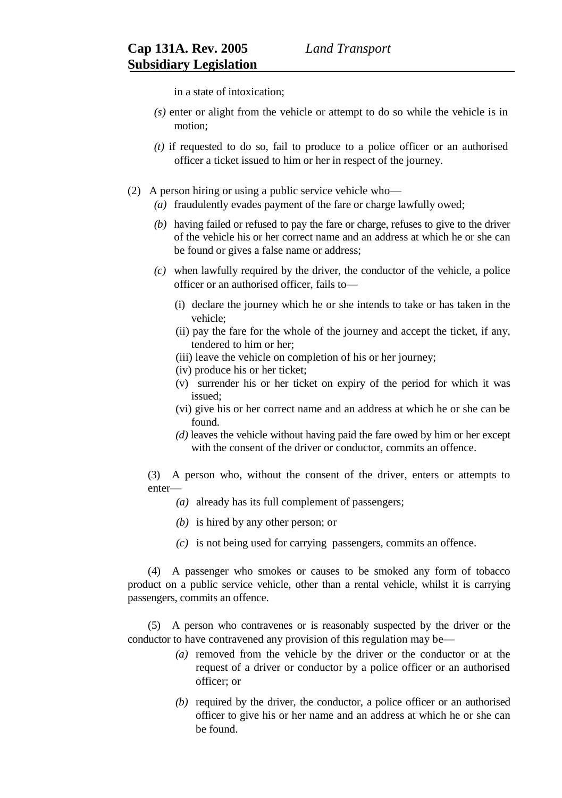in a state of intoxication;

- *(s)* enter or alight from the vehicle or attempt to do so while the vehicle is in motion;
- *(t)* if requested to do so, fail to produce to a police officer or an authorised officer a ticket issued to him or her in respect of the journey.
- (2) A person hiring or using a public service vehicle who—
	- *(a)* fraudulently evades payment of the fare or charge lawfully owed;
	- *(b)* having failed or refused to pay the fare or charge, refuses to give to the driver of the vehicle his or her correct name and an address at which he or she can be found or gives a false name or address;
	- *(c)* when lawfully required by the driver, the conductor of the vehicle, a police officer or an authorised officer, fails to—
		- (i) declare the journey which he or she intends to take or has taken in the vehicle;
		- (ii) pay the fare for the whole of the journey and accept the ticket, if any, tendered to him or her;
		- (iii) leave the vehicle on completion of his or her journey;
		- (iv) produce his or her ticket;
		- (v) surrender his or her ticket on expiry of the period for which it was issued;
		- (vi) give his or her correct name and an address at which he or she can be found.
		- *(d)* leaves the vehicle without having paid the fare owed by him or her except with the consent of the driver or conductor, commits an offence.

(3) A person who, without the consent of the driver, enters or attempts to enter—

- *(a)* already has its full complement of passengers;
- *(b)* is hired by any other person; or
- *(c)* is not being used for carrying passengers, commits an offence.

(4) A passenger who smokes or causes to be smoked any form of tobacco product on a public service vehicle, other than a rental vehicle, whilst it is carrying passengers, commits an offence.

(5) A person who contravenes or is reasonably suspected by the driver or the conductor to have contravened any provision of this regulation may be—

- *(a)* removed from the vehicle by the driver or the conductor or at the request of a driver or conductor by a police officer or an authorised officer; or
- *(b)* required by the driver, the conductor, a police officer or an authorised officer to give his or her name and an address at which he or she can be found.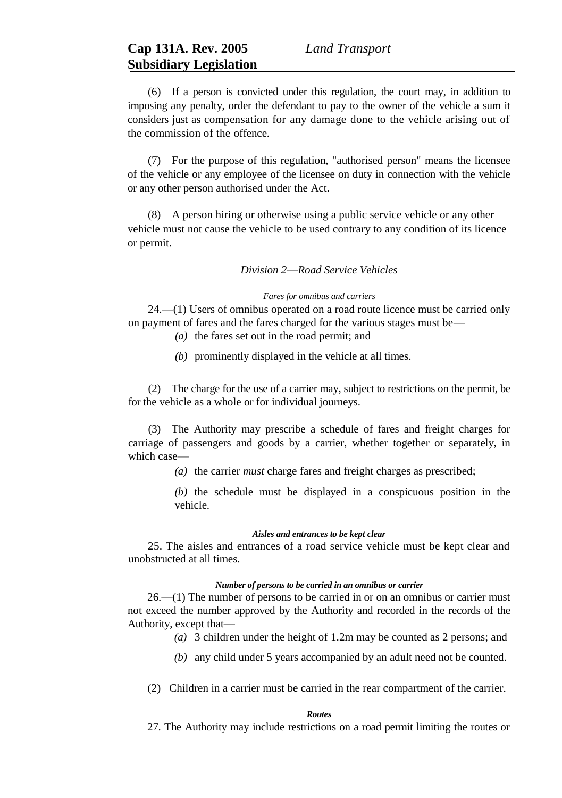(6) If a person is convicted under this regulation, the court may, in addition to imposing any penalty, order the defendant to pay to the owner of the vehicle a sum it considers just as compensation for any damage done to the vehicle arising out of the commission of the offence.

(7) For the purpose of this regulation, "authorised person" means the licensee of the vehicle or any employee of the licensee on duty in connection with the vehicle or any other person authorised under the Act.

(8) A person hiring or otherwise using a public service vehicle or any other vehicle must not cause the vehicle to be used contrary to any condition of its licence or permit.

## *Division 2*—*Road Service Vehicles*

# *Fares for omnibus and carriers*

24.—(1) Users of omnibus operated on a road route licence must be carried only on payment of fares and the fares charged for the various stages must be—

- *(a)* the fares set out in the road permit; and
- *(b)* prominently displayed in the vehicle at all times.

(2) The charge for the use of a carrier may, subject to restrictions on the permit, be for the vehicle as a whole or for individual journeys.

(3) The Authority may prescribe a schedule of fares and freight charges for carriage of passengers and goods by a carrier, whether together or separately, in which case—

*(a)* the carrier *must* charge fares and freight charges as prescribed;

*(b)* the schedule must be displayed in a conspicuous position in the vehicle.

#### *Aisles and entrances to be kept clear*

25. The aisles and entrances of a road service vehicle must be kept clear and unobstructed at all times.

## *Number of persons to be carried in an omnibus or carrier*

26.—(1) The number of persons to be carried in or on an omnibus or carrier must not exceed the number approved by the Authority and recorded in the records of the Authority, except that—

- *(a)* 3 children under the height of 1.2m may be counted as 2 persons; and
- *(b)* any child under 5 years accompanied by an adult need not be counted.
- (2) Children in a carrier must be carried in the rear compartment of the carrier.

#### *Routes*

27. The Authority may include restrictions on a road permit limiting the routes or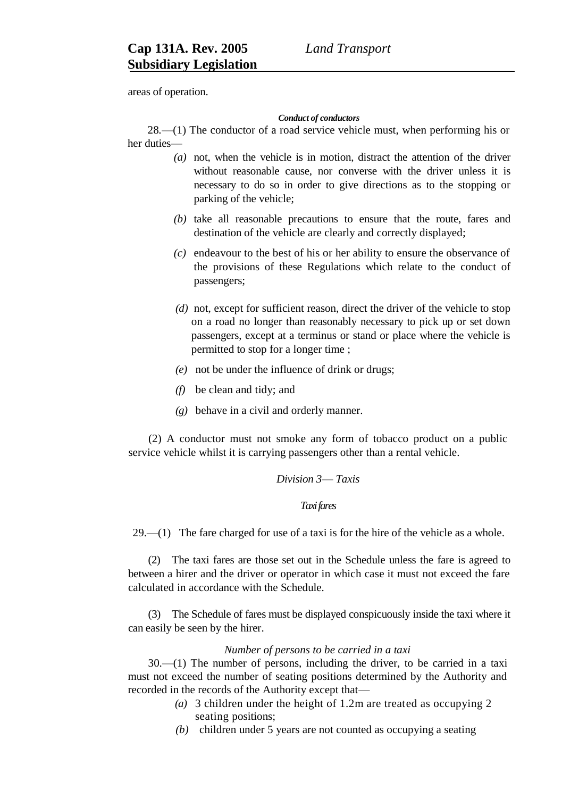areas of operation.

# *Conduct of conductors*

28*.*—(1) The conductor of a road service vehicle must, when performing his or her duties—

- *(a)* not, when the vehicle is in motion, distract the attention of the driver without reasonable cause, nor converse with the driver unless it is necessary to do so in order to give directions as to the stopping or parking of the vehicle;
- *(b)* take all reasonable precautions to ensure that the route, fares and destination of the vehicle are clearly and correctly displayed;
- *(c)* endeavour to the best of his or her ability to ensure the observance of the provisions of these Regulations which relate to the conduct of passengers;
- *(d)* not, except for sufficient reason, direct the driver of the vehicle to stop on a road no longer than reasonably necessary to pick up or set down passengers, except at a terminus or stand or place where the vehicle is permitted to stop for a longer time ;
- *(e)* not be under the influence of drink or drugs;
- *(f)* be clean and tidy; and
- *(g)* behave in a civil and orderly manner.

(2) A conductor must not smoke any form of tobacco product on a public service vehicle whilst it is carrying passengers other than a rental vehicle.

# *Division 3*— *Taxis*

# *Taxi fares*

29.—(1) The fare charged for use of a taxi is for the hire of the vehicle as a whole.

(2) The taxi fares are those set out in the Schedule unless the fare is agreed to between a hirer and the driver or operator in which case it must not exceed the fare calculated in accordance with the Schedule.

(3) The Schedule of fares must be displayed conspicuously inside the taxi where it can easily be seen by the hirer.

# *Number of persons to be carried in a taxi*

30.—(1) The number of persons, including the driver, to be carried in a taxi must not exceed the number of seating positions determined by the Authority and recorded in the records of the Authority except that—

- *(a)* 3 children under the height of 1.2m are treated as occupying 2 seating positions;
- *(b)* children under 5 years are not counted as occupying a seating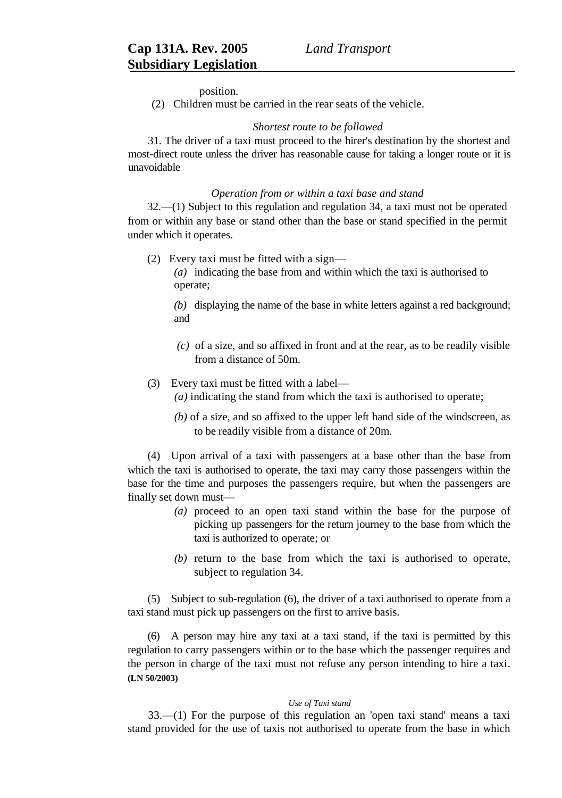position.

(2) Children must be carried in the rear seats of the vehicle.

## *Shortest route to be followed*

31. The driver of a taxi must proceed to the hirer's destination by the shortest and most-direct route unless the driver has reasonable cause for taking a longer route or it is unavoidable

## *Operation from or within a taxi base and stand*

32.—(1) Subject to this regulation and regulation 34, a taxi must not be operated from or within any base or stand other than the base or stand specified in the permit under which it operates.

(2) Every taxi must be fitted with a sign—

*(a)* indicating the base from and within which the taxi is authorised to operate;

*(b)* displaying the name of the base in white letters against a red background; and

*(c)* of a size, and so affixed in front and at the rear, as to be readily visible from a distance of 50m.

# (3) Every taxi must be fitted with a label—

- *(a)* indicating the stand from which the taxi is authorised to operate;
- *(b)* of a size, and so affixed to the upper left hand side of the windscreen, as to be readily visible from a distance of 20m.

(4) Upon arrival of a taxi with passengers at a base other than the base from which the taxi is authorised to operate, the taxi may carry those passengers within the base for the time and purposes the passengers require, but when the passengers are finally set down must—

- *(a)* proceed to an open taxi stand within the base for the purpose of picking up passengers for the return journey to the base from which the taxi is authorized to operate; or
- *(b)* return to the base from which the taxi is authorised to operate, subject to regulation 34.

(5) Subject to sub-regulation (6), the driver of a taxi authorised to operate from a taxi stand must pick up passengers on the first to arrive basis.

(6) A person may hire any taxi at a taxi stand, if the taxi is permitted by this regulation to carry passengers within or to the base which the passenger requires and the person in charge of the taxi must not refuse any person intending to hire a taxi. **(LN 50/2003)**

# *Use of Taxi stand*

33.—(1) For the purpose of this regulation an 'open taxi stand' means a taxi stand provided for the use of taxis not authorised to operate from the base in which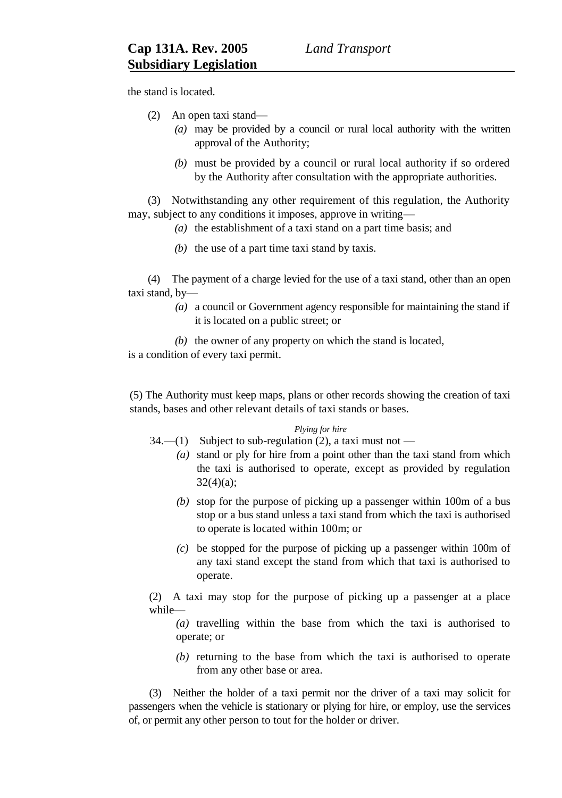the stand is located.

- (2) An open taxi stand—
	- *(a)* may be provided by a council or rural local authority with the written approval of the Authority;
	- *(b)* must be provided by a council or rural local authority if so ordered by the Authority after consultation with the appropriate authorities.

(3) Notwithstanding any other requirement of this regulation, the Authority may, subject to any conditions it imposes, approve in writing—

- *(a)* the establishment of a taxi stand on a part time basis; and
- *(b)* the use of a part time taxi stand by taxis.

(4) The payment of a charge levied for the use of a taxi stand, other than an open taxi stand, by—

> *(a)* a council or Government agency responsible for maintaining the stand if it is located on a public street; or

*(b)* the owner of any property on which the stand is located, is a condition of every taxi permit.

(5) The Authority must keep maps, plans or other records showing the creation of taxi stands, bases and other relevant details of taxi stands or bases.

# *Plying for hire*

- 34.—(1) Subject to sub-regulation (2), a taxi must not
	- *(a)* stand or ply for hire from a point other than the taxi stand from which the taxi is authorised to operate, except as provided by regulation 32(4)(a);
	- *(b)* stop for the purpose of picking up a passenger within 100m of a bus stop or a bus stand unless a taxi stand from which the taxi is authorised to operate is located within 100m; or
	- *(c)* be stopped for the purpose of picking up a passenger within 100m of any taxi stand except the stand from which that taxi is authorised to operate.

(2) A taxi may stop for the purpose of picking up a passenger at a place while—

*(a)* travelling within the base from which the taxi is authorised to operate; or

*(b)* returning to the base from which the taxi is authorised to operate from any other base or area.

(3) Neither the holder of a taxi permit nor the driver of a taxi may solicit for passengers when the vehicle is stationary or plying for hire, or employ, use the services of, or permit any other person to tout for the holder or driver.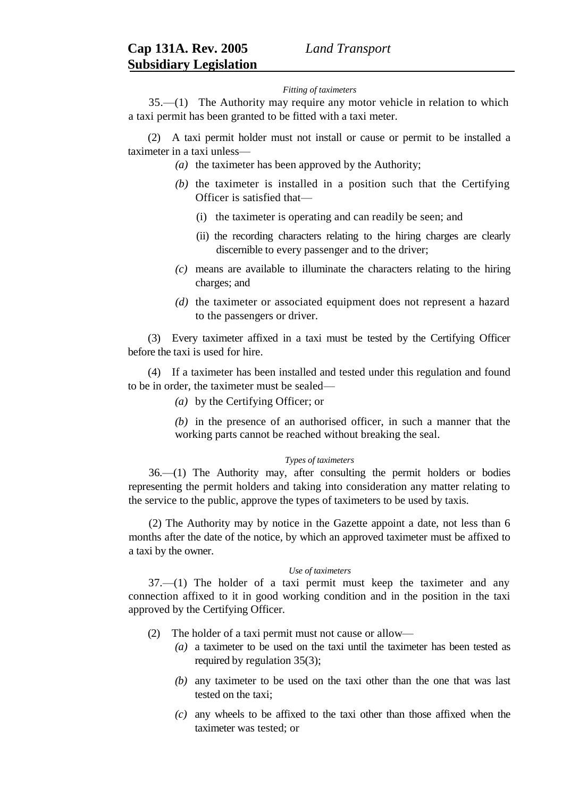#### *Fitting of taximeters*

35.—(1) The Authority may require any motor vehicle in relation to which a taxi permit has been granted to be fitted with a taxi meter.

(2) A taxi permit holder must not install or cause or permit to be installed a taximeter in a taxi unless—

- *(a)* the taximeter has been approved by the Authority;
- *(b)* the taximeter is installed in a position such that the Certifying Officer is satisfied that—
	- (i) the taximeter is operating and can readily be seen; and
	- (ii) the recording characters relating to the hiring charges are clearly discernible to every passenger and to the driver;
- *(c)* means are available to illuminate the characters relating to the hiring charges; and
- *(d)* the taximeter or associated equipment does not represent a hazard to the passengers or driver.

(3) Every taximeter affixed in a taxi must be tested by the Certifying Officer before the taxi is used for hire.

(4) If a taximeter has been installed and tested under this regulation and found to be in order, the taximeter must be sealed—

*(a)* by the Certifying Officer; or

*(b)* in the presence of an authorised officer, in such a manner that the working parts cannot be reached without breaking the seal.

#### *Types of taximeters*

36.—(1) The Authority may, after consulting the permit holders or bodies representing the permit holders and taking into consideration any matter relating to the service to the public, approve the types of taximeters to be used by taxis.

(2) The Authority may by notice in the Gazette appoint a date, not less than 6 months after the date of the notice, by which an approved taximeter must be affixed to a taxi by the owner.

#### *Use of taximeters*

37.—(1) The holder of a taxi permit must keep the taximeter and any connection affixed to it in good working condition and in the position in the taxi approved by the Certifying Officer.

- (2) The holder of a taxi permit must not cause or allow—
	- *(a)* a taximeter to be used on the taxi until the taximeter has been tested as required by regulation 35(3);
	- *(b)* any taximeter to be used on the taxi other than the one that was last tested on the taxi;
	- *(c)* any wheels to be affixed to the taxi other than those affixed when the taximeter was tested; or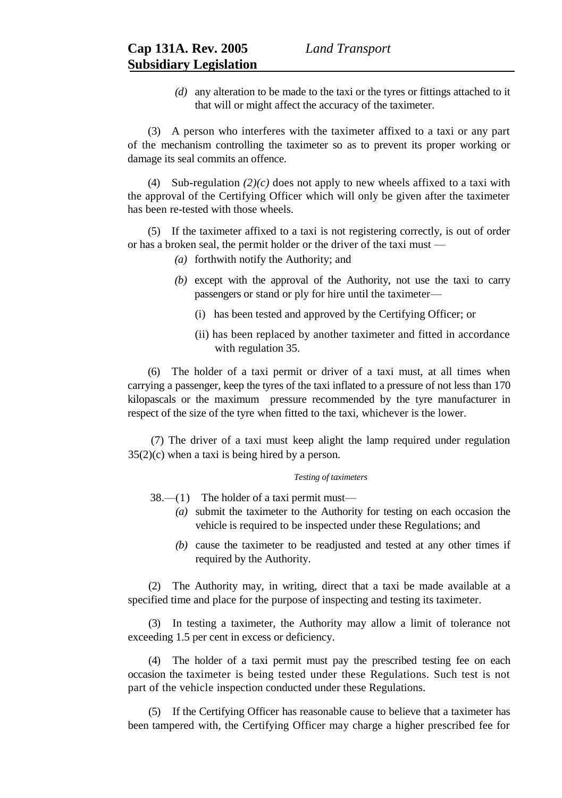*(d)* any alteration to be made to the taxi or the tyres or fittings attached to it that will or might affect the accuracy of the taximeter.

(3) A person who interferes with the taximeter affixed to a taxi or any part of the mechanism controlling the taximeter so as to prevent its proper working or damage its seal commits an offence.

(4) Sub-regulation  $(2)(c)$  does not apply to new wheels affixed to a taxi with the approval of the Certifying Officer which will only be given after the taximeter has been re-tested with those wheels.

(5) If the taximeter affixed to a taxi is not registering correctly, is out of order or has a broken seal, the permit holder or the driver of the taxi must —

- *(a)* forthwith notify the Authority; and
- *(b)* except with the approval of the Authority, not use the taxi to carry passengers or stand or ply for hire until the taximeter—
	- (i) has been tested and approved by the Certifying Officer; or
	- (ii) has been replaced by another taximeter and fitted in accordance with regulation 35.

(6) The holder of a taxi permit or driver of a taxi must, at all times when carrying a passenger, keep the tyres of the taxi inflated to a pressure of not less than 170 kilopascals or the maximum pressure recommended by the tyre manufacturer in respect of the size of the tyre when fitted to the taxi, whichever is the lower.

(7) The driver of a taxi must keep alight the lamp required under regulation  $35(2)(c)$  when a taxi is being hired by a person.

### *Testing of taximeters*

38.—(1) The holder of a taxi permit must—

- *(a)* submit the taximeter to the Authority for testing on each occasion the vehicle is required to be inspected under these Regulations; and
	- *(b)* cause the taximeter to be readjusted and tested at any other times if required by the Authority.

(2) The Authority may, in writing, direct that a taxi be made available at a specified time and place for the purpose of inspecting and testing its taximeter.

(3) In testing a taximeter, the Authority may allow a limit of tolerance not exceeding 1.5 per cent in excess or deficiency.

(4) The holder of a taxi permit must pay the prescribed testing fee on each occasion the taximeter is being tested under these Regulations. Such test is not part of the vehicle inspection conducted under these Regulations.

(5) If the Certifying Officer has reasonable cause to believe that a taximeter has been tampered with, the Certifying Officer may charge a higher prescribed fee for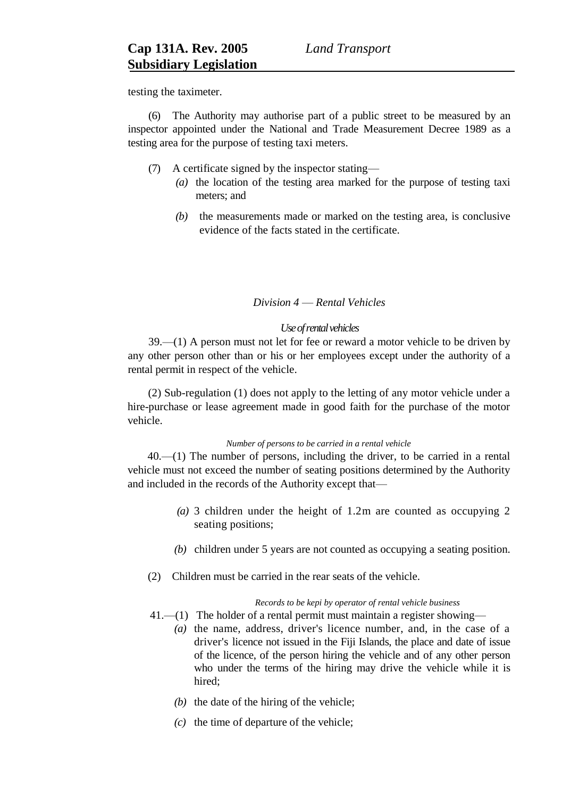testing the taximeter.

(6) The Authority may authorise part of a public street to be measured by an inspector appointed under the National and Trade Measurement Decree 1989 as a testing area for the purpose of testing taxi meters.

- (7) A certificate signed by the inspector stating—
	- *(a)* the location of the testing area marked for the purpose of testing taxi meters; and
	- *(b)* the measurements made or marked on the testing area, is conclusive evidence of the facts stated in the certificate.

# *Division 4* — *Rental Vehicles*

# *Use of rental vehicles*

39.—(1) A person must not let for fee or reward a motor vehicle to be driven by any other person other than or his or her employees except under the authority of a rental permit in respect of the vehicle.

(2) Sub-regulation (1) does not apply to the letting of any motor vehicle under a hire-purchase or lease agreement made in good faith for the purchase of the motor vehicle.

## *Number of persons to be carried in a rental vehicle*

40.—(1) The number of persons, including the driver, to be carried in a rental vehicle must not exceed the number of seating positions determined by the Authority and included in the records of the Authority except that—

- *(a)* 3 children under the height of 1.2m are counted as occupying 2 seating positions;
- *(b)* children under 5 years are not counted as occupying a seating position.
- (2) Children must be carried in the rear seats of the vehicle.

# *Records to be kepi by operator of rental vehicle business*

- 41.—(1) The holder of a rental permit must maintain a register showing—
	- *(a)* the name, address, driver's licence number, and, in the case of a driver's licence not issued in the Fiji Islands, the place and date of issue of the licence, of the person hiring the vehicle and of any other person who under the terms of the hiring may drive the vehicle while it is hired;
		- *(b)* the date of the hiring of the vehicle;
		- *(c)* the time of departure of the vehicle;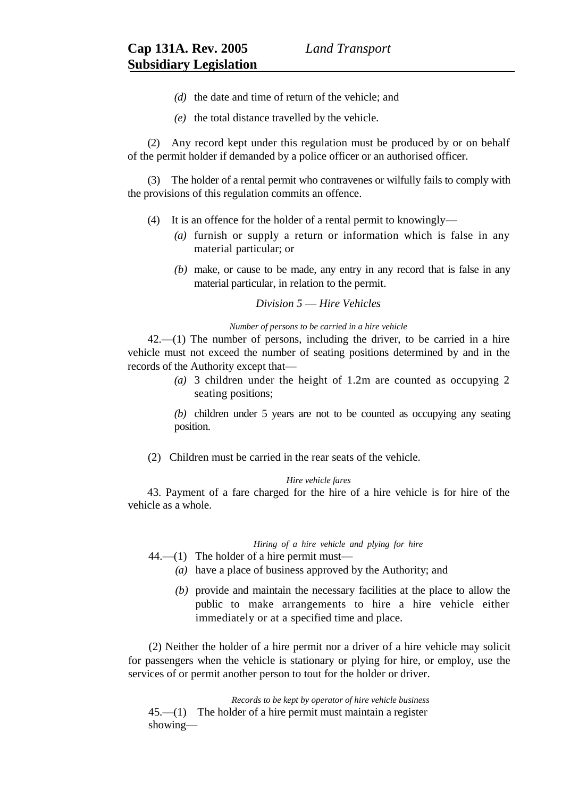- *(d)* the date and time of return of the vehicle; and
- *(e)* the total distance travelled by the vehicle.

(2) Any record kept under this regulation must be produced by or on behalf of the permit holder if demanded by a police officer or an authorised officer.

(3) The holder of a rental permit who contravenes or wilfully fails to comply with the provisions of this regulation commits an offence.

- (4) It is an offence for the holder of a rental permit to knowingly—
	- *(a)* furnish or supply a return or information which is false in any material particular; or
	- *(b)* make, or cause to be made, any entry in any record that is false in any material particular, in relation to the permit.

# *Division 5* — *Hire Vehicles*

### *Number of persons to be carried in a hire vehicle*

42.—(1) The number of persons, including the driver, to be carried in a hire vehicle must not exceed the number of seating positions determined by and in the records of the Authority except that—

> *(a)* 3 children under the height of 1.2m are counted as occupying 2 seating positions;

> *(b)* children under 5 years are not to be counted as occupying any seating position.

(2) Children must be carried in the rear seats of the vehicle.

#### *Hire vehicle fares*

43. Payment of a fare charged for the hire of a hire vehicle is for hire of the vehicle as a whole.

## *Hiring of a hire vehicle and plying for hire*

 $44.$ —(1) The holder of a hire permit must—

- *(a)* have a place of business approved by the Authority; and
- *(b)* provide and maintain the necessary facilities at the place to allow the public to make arrangements to hire a hire vehicle either immediately or at a specified time and place.

(2) Neither the holder of a hire permit nor a driver of a hire vehicle may solicit for passengers when the vehicle is stationary or plying for hire, or employ, use the services of or permit another person to tout for the holder or driver.

*Records to be kept by operator of hire vehicle business*  45.—(1) The holder of a hire permit must maintain a register showing—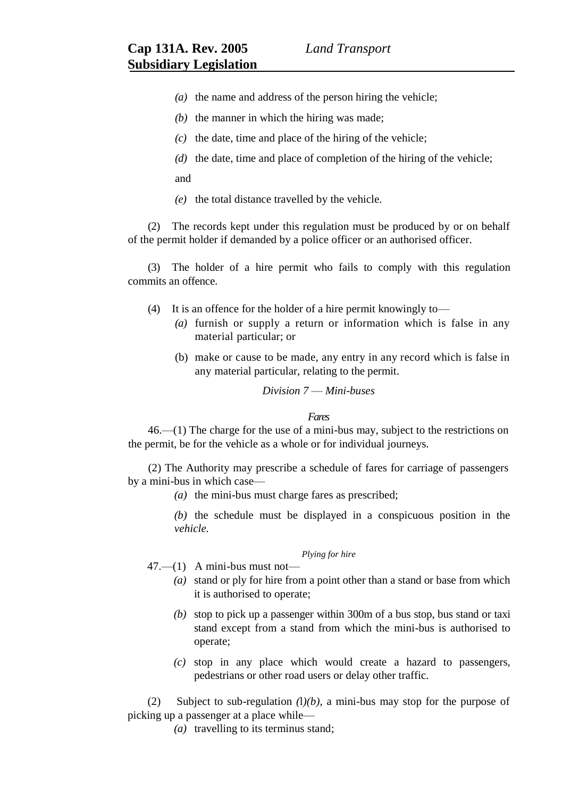- *(a)* the name and address of the person hiring the vehicle;
- *(b)* the manner in which the hiring was made;
- *(c)* the date, time and place of the hiring of the vehicle;
- *(d)* the date, time and place of completion of the hiring of the vehicle;

and

*(e)* the total distance travelled by the vehicle.

(2) The records kept under this regulation must be produced by or on behalf of the permit holder if demanded by a police officer or an authorised officer.

(3) The holder of a hire permit who fails to comply with this regulation commits an offence.

- (4) It is an offence for the holder of a hire permit knowingly to—
	- *(a)* furnish or supply a return or information which is false in any material particular; or
	- (b) make or cause to be made, any entry in any record which is false in any material particular, relating to the permit.

# *Division 7* — *Mini-buses*

#### *Fares*

46.—(1) The charge for the use of a mini-bus may, subject to the restrictions on the permit, be for the vehicle as a whole or for individual journeys.

(2) The Authority may prescribe a schedule of fares for carriage of passengers by a mini-bus in which case—

- *(a)* the mini-bus must charge fares as prescribed;
- *(b)* the schedule must be displayed in a conspicuous position in the *vehicle.*

# *Plying for hire*

 $47.$ — $(1)$  A mini-bus must not—

- *(a)* stand or ply for hire from a point other than a stand or base from which it is authorised to operate;
- *(b)* stop to pick up a passenger within 300m of a bus stop, bus stand or taxi stand except from a stand from which the mini-bus is authorised to operate;
- *(c)* stop in any place which would create a hazard to passengers, pedestrians or other road users or delay other traffic.

(2) Subject to sub-regulation *(*l*)(b),* a mini-bus may stop for the purpose of picking up a passenger at a place while—

*(a)* travelling to its terminus stand;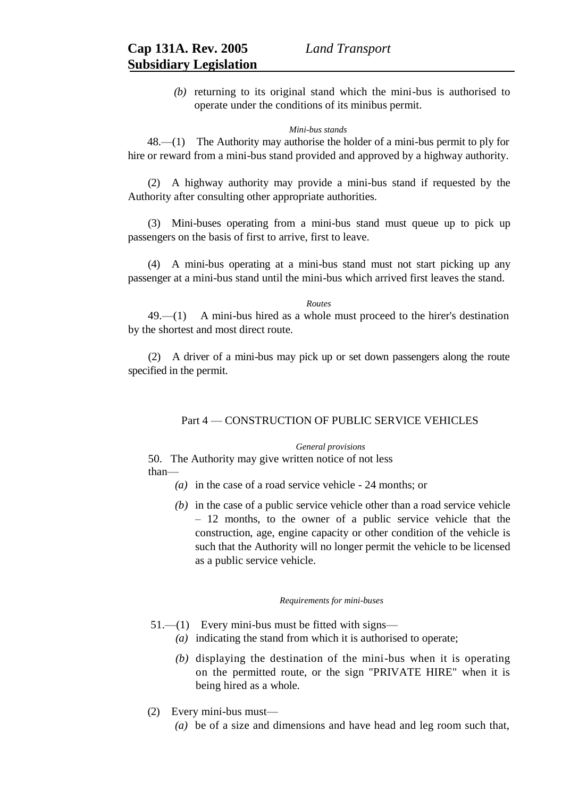*(b)* returning to its original stand which the mini-bus is authorised to operate under the conditions of its minibus permit.

### *Mini-bus stands*

48.—(1) The Authority may authorise the holder of a mini-bus permit to ply for hire or reward from a mini-bus stand provided and approved by a highway authority.

(2) A highway authority may provide a mini-bus stand if requested by the Authority after consulting other appropriate authorities.

(3) Mini-buses operating from a mini-bus stand must queue up to pick up passengers on the basis of first to arrive, first to leave.

(4) A mini-bus operating at a mini-bus stand must not start picking up any passenger at a mini-bus stand until the mini-bus which arrived first leaves the stand.

*Routes*

49.—(1) A mini-bus hired as a whole must proceed to the hirer's destination by the shortest and most direct route.

(2) A driver of a mini-bus may pick up or set down passengers along the route specified in the permit.

# Part 4 — CONSTRUCTION OF PUBLIC SERVICE VEHICLES

### *General provisions*

50. The Authority may give written notice of not less than—

- *(a)* in the case of a road service vehicle 24 months; or
- *(b)* in the case of a public service vehicle other than a road service vehicle – 12 months, to the owner of a public service vehicle that the construction, age, engine capacity or other condition of the vehicle is such that the Authority will no longer permit the vehicle to be licensed as a public service vehicle.

#### *Requirements for mini-buses*

- 51.—(1) Every mini-bus must be fitted with signs—
	- *(a)* indicating the stand from which it is authorised to operate;
	- *(b)* displaying the destination of the mini-bus when it is operating on the permitted route, or the sign "PRIVATE HIRE" when it is being hired as a whole.
- (2) Every mini-bus must—
	- *(a)* be of a size and dimensions and have head and leg room such that,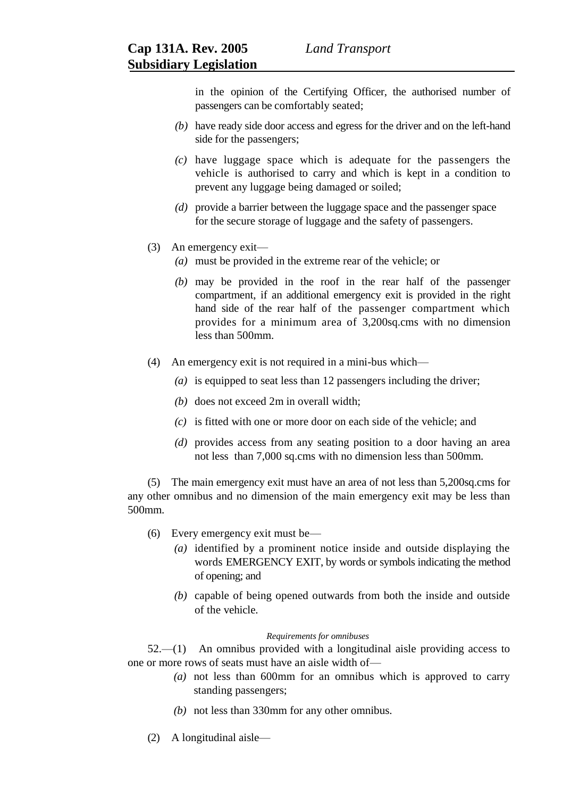in the opinion of the Certifying Officer, the authorised number of passengers can be comfortably seated;

- *(b)* have ready side door access and egress for the driver and on the left-hand side for the passengers;
- *(c)* have luggage space which is adequate for the passengers the vehicle is authorised to carry and which is kept in a condition to prevent any luggage being damaged or soiled;
- *(d)* provide a barrier between the luggage space and the passenger space for the secure storage of luggage and the safety of passengers.
- (3) An emergency exit—
	- *(a)* must be provided in the extreme rear of the vehicle; or
	- *(b)* may be provided in the roof in the rear half of the passenger compartment, if an additional emergency exit is provided in the right hand side of the rear half of the passenger compartment which provides for a minimum area of 3,200sq.cms with no dimension less than 500mm.
- (4) An emergency exit is not required in a mini-bus which—
	- *(a)* is equipped to seat less than 12 passengers including the driver;
	- *(b)* does not exceed 2m in overall width;
	- *(c)* is fitted with one or more door on each side of the vehicle; and
	- *(d)* provides access from any seating position to a door having an area not less than 7,000 sq.cms with no dimension less than 500mm.

(5) The main emergency exit must have an area of not less than 5,200sq.cms for any other omnibus and no dimension of the main emergency exit may be less than 500mm.

- (6) Every emergency exit must be—
	- *(a)* identified by a prominent notice inside and outside displaying the words EMERGENCY EXIT, by words or symbols indicating the method of opening; and
	- *(b)* capable of being opened outwards from both the inside and outside of the vehicle.

### *Requirements for omnibuses*

52.—(1) An omnibus provided with a longitudinal aisle providing access to one or more rows of seats must have an aisle width of—

- *(a)* not less than 600mm for an omnibus which is approved to carry standing passengers;
- *(b)* not less than 330mm for any other omnibus.
- (2) A longitudinal aisle—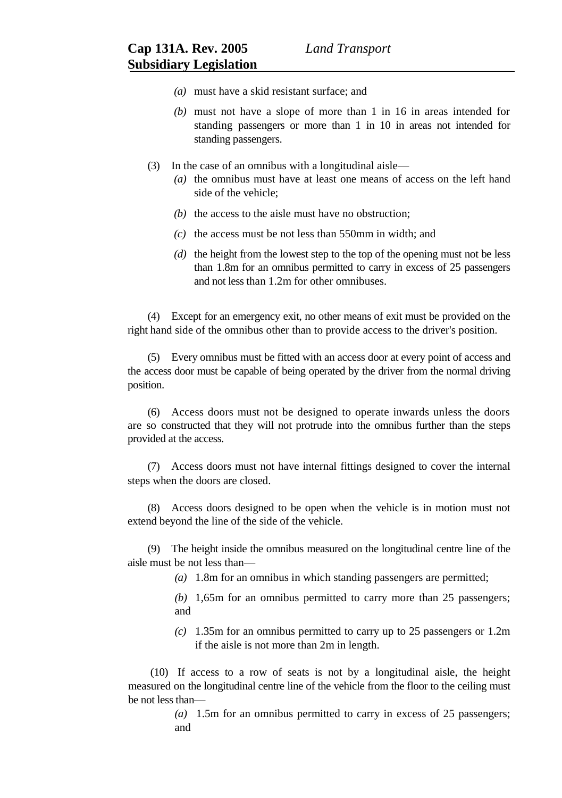- *(a)* must have a skid resistant surface; and
- *(b)* must not have a slope of more than 1 in 16 in areas intended for standing passengers or more than 1 in 10 in areas not intended for standing passengers.
- (3) In the case of an omnibus with a longitudinal aisle—
	- *(a)* the omnibus must have at least one means of access on the left hand side of the vehicle;
	- *(b)* the access to the aisle must have no obstruction;
	- *(c)* the access must be not less than 550mm in width; and
	- *(d)* the height from the lowest step to the top of the opening must not be less than 1.8m for an omnibus permitted to carry in excess of 25 passengers and not less than 1.2m for other omnibuses.

(4) Except for an emergency exit, no other means of exit must be provided on the right hand side of the omnibus other than to provide access to the driver's position.

(5) Every omnibus must be fitted with an access door at every point of access and the access door must be capable of being operated by the driver from the normal driving position.

(6) Access doors must not be designed to operate inwards unless the doors are so constructed that they will not protrude into the omnibus further than the steps provided at the access.

(7) Access doors must not have internal fittings designed to cover the internal steps when the doors are closed.

(8) Access doors designed to be open when the vehicle is in motion must not extend beyond the line of the side of the vehicle.

(9) The height inside the omnibus measured on the longitudinal centre line of the aisle must be not less than—

*(a)* 1.8m for an omnibus in which standing passengers are permitted;

*(b)* 1,65m for an omnibus permitted to carry more than 25 passengers; and

*(c)* 1.35m for an omnibus permitted to carry up to 25 passengers or 1.2m if the aisle is not more than 2m in length.

(10) If access to a row of seats is not by a longitudinal aisle, the height measured on the longitudinal centre line of the vehicle from the floor to the ceiling must be not less than—

> *(a)* 1.5m for an omnibus permitted to carry in excess of 25 passengers; and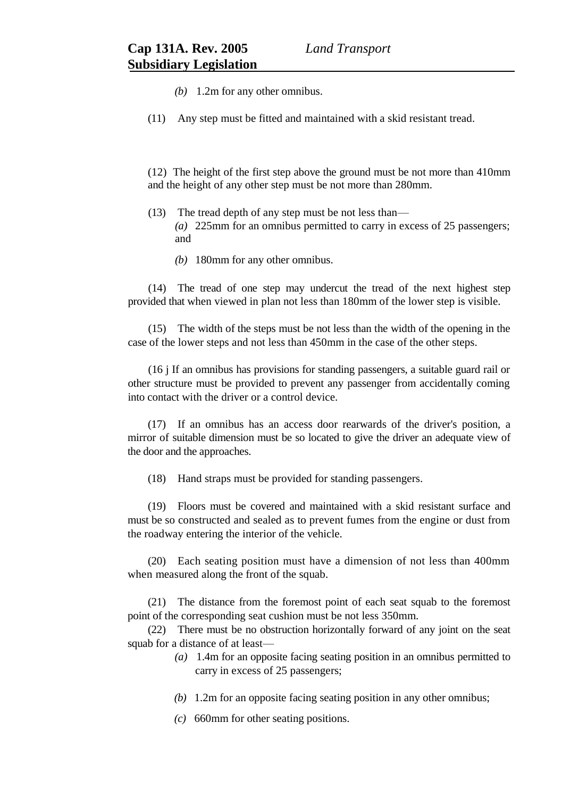- *(b)* 1.2m for any other omnibus.
- (11) Any step must be fitted and maintained with a skid resistant tread.

(12) The height of the first step above the ground must be not more than 410mm and the height of any other step must be not more than 280mm.

- (13) The tread depth of any step must be not less than— *(a)* 225mm for an omnibus permitted to carry in excess of 25 passengers; and
	- *(b)* 180mm for any other omnibus.

(14) The tread of one step may undercut the tread of the next highest step provided that when viewed in plan not less than 180mm of the lower step is visible.

(15) The width of the steps must be not less than the width of the opening in the case of the lower steps and not less than 450mm in the case of the other steps.

(16 j If an omnibus has provisions for standing passengers, a suitable guard rail or other structure must be provided to prevent any passenger from accidentally coming into contact with the driver or a control device.

(17) If an omnibus has an access door rearwards of the driver's position, a mirror of suitable dimension must be so located to give the driver an adequate view of the door and the approaches.

(18) Hand straps must be provided for standing passengers.

(19) Floors must be covered and maintained with a skid resistant surface and must be so constructed and sealed as to prevent fumes from the engine or dust from the roadway entering the interior of the vehicle.

(20) Each seating position must have a dimension of not less than 400mm when measured along the front of the squab.

(21) The distance from the foremost point of each seat squab to the foremost point of the corresponding seat cushion must be not less 350mm.

(22) There must be no obstruction horizontally forward of any joint on the seat squab for a distance of at least—

- *(a)* 1.4m for an opposite facing seating position in an omnibus permitted to carry in excess of 25 passengers;
- *(b)* 1.2m for an opposite facing seating position in any other omnibus;
- *(c)* 660mm for other seating positions.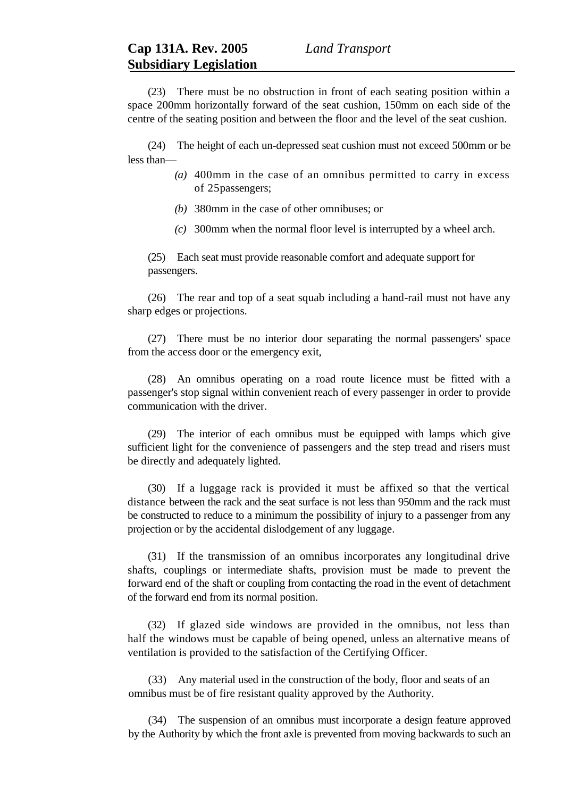(23) There must be no obstruction in front of each seating position within a space 200mm horizontally forward of the seat cushion, 150mm on each side of the centre of the seating position and between the floor and the level of the seat cushion.

(24) The height of each un-depressed seat cushion must not exceed 500mm or be less than—

- *(a)* 400mm in the case of an omnibus permitted to carry in excess of 25passengers;
- *(b)* 380mm in the case of other omnibuses; or
- *(c)* 300mm when the normal floor level is interrupted by a wheel arch.

(25) Each seat must provide reasonable comfort and adequate support for passengers.

(26) The rear and top of a seat squab including a hand-rail must not have any sharp edges or projections.

(27) There must be no interior door separating the normal passengers' space from the access door or the emergency exit,

(28) An omnibus operating on a road route licence must be fitted with a passenger's stop signal within convenient reach of every passenger in order to provide communication with the driver.

(29) The interior of each omnibus must be equipped with lamps which give sufficient light for the convenience of passengers and the step tread and risers must be directly and adequately lighted.

(30) If a luggage rack is provided it must be affixed so that the vertical distance between the rack and the seat surface is not less than 950mm and the rack must be constructed to reduce to a minimum the possibility of injury to a passenger from any projection or by the accidental dislodgement of any luggage.

(31) If the transmission of an omnibus incorporates any longitudinal drive shafts, couplings or intermediate shafts, provision must be made to prevent the forward end of the shaft or coupling from contacting the road in the event of detachment of the forward end from its normal position.

(32) If glazed side windows are provided in the omnibus, not less than half the windows must be capable of being opened, unless an alternative means of ventilation is provided to the satisfaction of the Certifying Officer.

(33) Any material used in the construction of the body, floor and seats of an omnibus must be of fire resistant quality approved by the Authority.

(34) The suspension of an omnibus must incorporate a design feature approved by the Authority by which the front axle is prevented from moving backwards to such an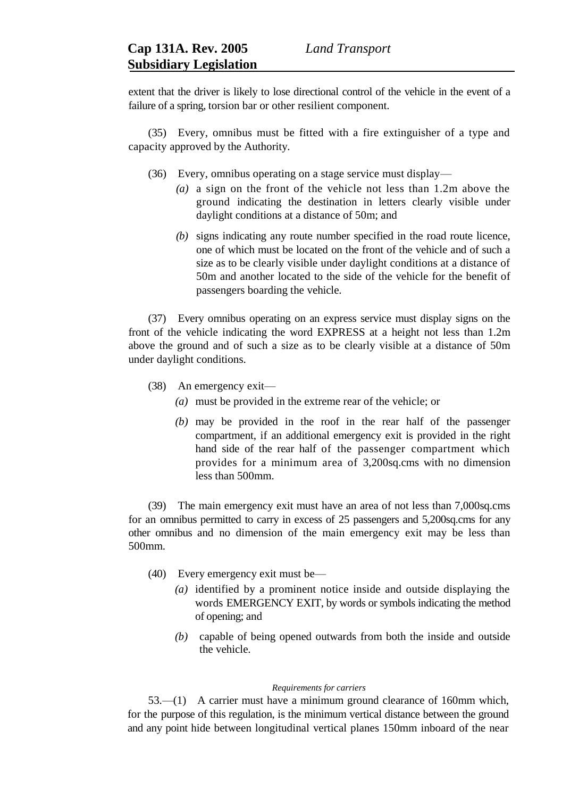extent that the driver is likely to lose directional control of the vehicle in the event of a failure of a spring, torsion bar or other resilient component.

(35) Every, omnibus must be fitted with a fire extinguisher of a type and capacity approved by the Authority.

- (36) Every, omnibus operating on a stage service must display—
	- *(a)* a sign on the front of the vehicle not less than 1.2m above the ground indicating the destination in letters clearly visible under daylight conditions at a distance of 50m; and
	- *(b)* signs indicating any route number specified in the road route licence, one of which must be located on the front of the vehicle and of such a size as to be clearly visible under daylight conditions at a distance of 50m and another located to the side of the vehicle for the benefit of passengers boarding the vehicle.

(37) Every omnibus operating on an express service must display signs on the front of the vehicle indicating the word EXPRESS at a height not less than 1.2m above the ground and of such a size as to be clearly visible at a distance of 50m under daylight conditions.

- (38) An emergency exit—
	- *(a)* must be provided in the extreme rear of the vehicle; or
	- *(b)* may be provided in the roof in the rear half of the passenger compartment, if an additional emergency exit is provided in the right hand side of the rear half of the passenger compartment which provides for a minimum area of 3,200sq.cms with no dimension less than 500mm.

(39) The main emergency exit must have an area of not less than 7,000sq.cms for an omnibus permitted to carry in excess of 25 passengers and 5,200sq.cms for any other omnibus and no dimension of the main emergency exit may be less than 500mm.

- (40) Every emergency exit must be—
	- *(a)* identified by a prominent notice inside and outside displaying the words EMERGENCY EXIT, by words or symbols indicating the method of opening; and
	- *(b)* capable of being opened outwards from both the inside and outside the vehicle.

### *Requirements for carriers*

53.—(1) A carrier must have a minimum ground clearance of 160mm which, for the purpose of this regulation, is the minimum vertical distance between the ground and any point hide between longitudinal vertical planes 150mm inboard of the near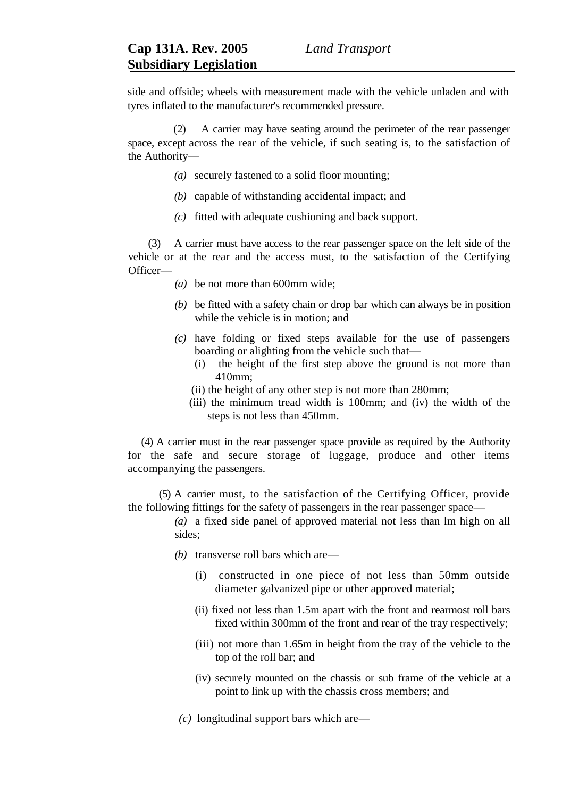side and offside; wheels with measurement made with the vehicle unladen and with tyres inflated to the manufacturer's recommended pressure.

 (2) A carrier may have seating around the perimeter of the rear passenger space, except across the rear of the vehicle, if such seating is, to the satisfaction of the Authority—

- *(a)* securely fastened to a solid floor mounting;
- *(b)* capable of withstanding accidental impact; and
- *(c)* fitted with adequate cushioning and back support.

(3) A carrier must have access to the rear passenger space on the left side of the vehicle or at the rear and the access must, to the satisfaction of the Certifying Officer—

- *(a)* be not more than 600mm wide;
- *(b)* be fitted with a safety chain or drop bar which can always be in position while the vehicle is in motion; and
- *(c)* have folding or fixed steps available for the use of passengers boarding or alighting from the vehicle such that—
	- (i) the height of the first step above the ground is not more than 410mm;
	- (ii) the height of any other step is not more than 280mm;
	- (iii) the minimum tread width is 100mm; and (iv) the width of the steps is not less than 450mm.

 (4) A carrier must in the rear passenger space provide as required by the Authority for the safe and secure storage of luggage, produce and other items accompanying the passengers.

(5) A carrier must, to the satisfaction of the Certifying Officer, provide the following fittings for the safety of passengers in the rear passenger space—

- *(a)* a fixed side panel of approved material not less than lm high on all sides;
- *(b)* transverse roll bars which are—
	- (i) constructed in one piece of not less than 50mm outside diameter galvanized pipe or other approved material;
	- (ii) fixed not less than 1.5m apart with the front and rearmost roll bars fixed within 300mm of the front and rear of the tray respectively;
	- (iii) not more than 1.65m in height from the tray of the vehicle to the top of the roll bar; and
	- (iv) securely mounted on the chassis or sub frame of the vehicle at a point to link up with the chassis cross members; and
- *(c)* longitudinal support bars which are—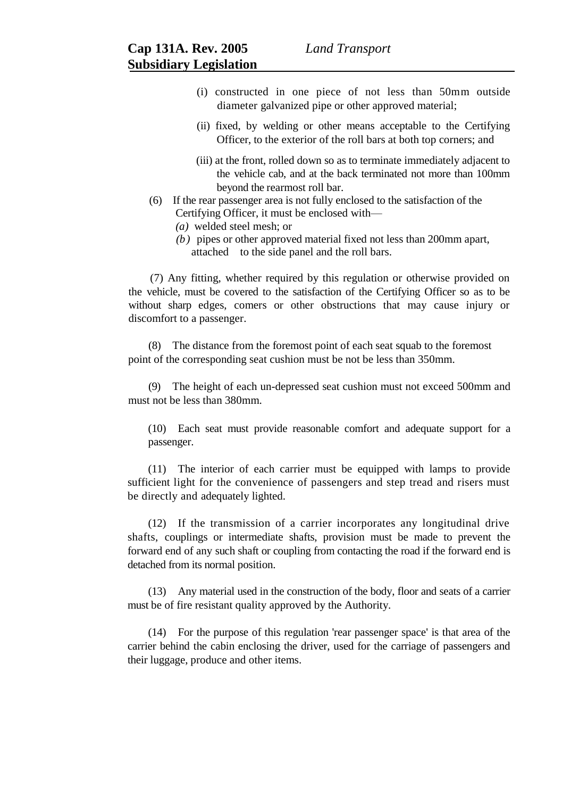- (i) constructed in one piece of not less than 50mm outside diameter galvanized pipe or other approved material;
- (ii) fixed, by welding or other means acceptable to the Certifying Officer, to the exterior of the roll bars at both top corners; and
- (iii) at the front, rolled down so as to terminate immediately adjacent to the vehicle cab, and at the back terminated not more than 100mm beyond the rearmost roll bar.
- (6) If the rear passenger area is not fully enclosed to the satisfaction of the Certifying Officer, it must be enclosed with—
	- *(a)* welded steel mesh; or
	- *(b)* pipes or other approved material fixed not less than 200mm apart, attached to the side panel and the roll bars.

 (7) Any fitting, whether required by this regulation or otherwise provided on the vehicle, must be covered to the satisfaction of the Certifying Officer so as to be without sharp edges, comers or other obstructions that may cause injury or discomfort to a passenger.

(8) The distance from the foremost point of each seat squab to the foremost point of the corresponding seat cushion must be not be less than 350mm.

(9) The height of each un-depressed seat cushion must not exceed 500mm and must not be less than 380mm.

(10) Each seat must provide reasonable comfort and adequate support for a passenger.

(11) The interior of each carrier must be equipped with lamps to provide sufficient light for the convenience of passengers and step tread and risers must be directly and adequately lighted.

(12) If the transmission of a carrier incorporates any longitudinal drive shafts, couplings or intermediate shafts, provision must be made to prevent the forward end of any such shaft or coupling from contacting the road if the forward end is detached from its normal position.

(13) Any material used in the construction of the body, floor and seats of a carrier must be of fire resistant quality approved by the Authority.

(14) For the purpose of this regulation 'rear passenger space' is that area of the carrier behind the cabin enclosing the driver, used for the carriage of passengers and their luggage, produce and other items.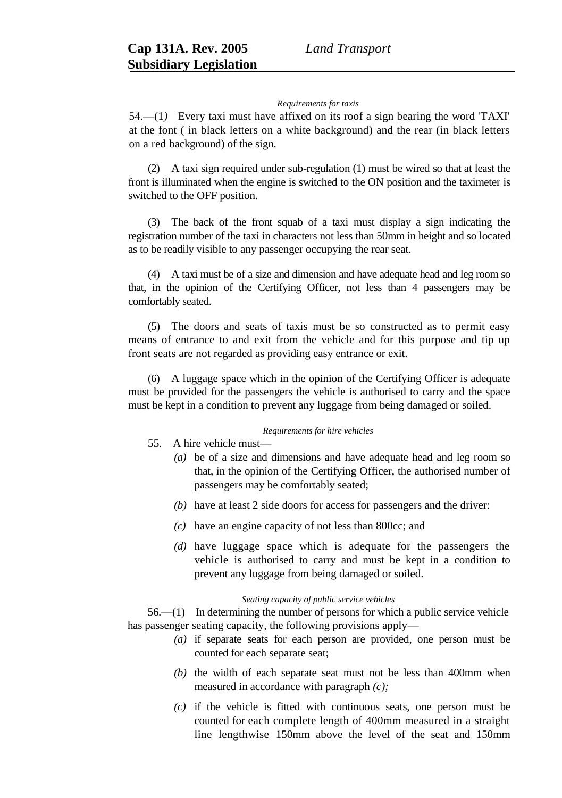### *Requirements for taxis*

54.—(1*)* Every taxi must have affixed on its roof a sign bearing the word 'TAXI' at the font ( in black letters on a white background) and the rear (in black letters on a red background) of the sign.

(2) A taxi sign required under sub-regulation (1) must be wired so that at least the front is illuminated when the engine is switched to the ON position and the taximeter is switched to the OFF position.

(3) The back of the front squab of a taxi must display a sign indicating the registration number of the taxi in characters not less than 50mm in height and so located as to be readily visible to any passenger occupying the rear seat.

(4) A taxi must be of a size and dimension and have adequate head and leg room so that, in the opinion of the Certifying Officer, not less than 4 passengers may be comfortably seated.

(5) The doors and seats of taxis must be so constructed as to permit easy means of entrance to and exit from the vehicle and for this purpose and tip up front seats are not regarded as providing easy entrance or exit.

(6) A luggage space which in the opinion of the Certifying Officer is adequate must be provided for the passengers the vehicle is authorised to carry and the space must be kept in a condition to prevent any luggage from being damaged or soiled.

## *Requirements for hire vehicles*

- 55. A hire vehicle must—
	- *(a)* be of a size and dimensions and have adequate head and leg room so that, in the opinion of the Certifying Officer, the authorised number of passengers may be comfortably seated;
	- *(b)* have at least 2 side doors for access for passengers and the driver:
	- *(c)* have an engine capacity of not less than 800cc; and
	- *(d)* have luggage space which is adequate for the passengers the vehicle is authorised to carry and must be kept in a condition to prevent any luggage from being damaged or soiled.

## *Seating capacity of public service vehicles*

56.—(1) In determining the number of persons for which a public service vehicle has passenger seating capacity, the following provisions apply—

- *(a)* if separate seats for each person are provided, one person must be counted for each separate seat;
- *(b)* the width of each separate seat must not be less than 400mm when measured in accordance with paragraph *(c);*
- *(c)* if the vehicle is fitted with continuous seats, one person must be counted for each complete length of 400mm measured in a straight line lengthwise 150mm above the level of the seat and 150mm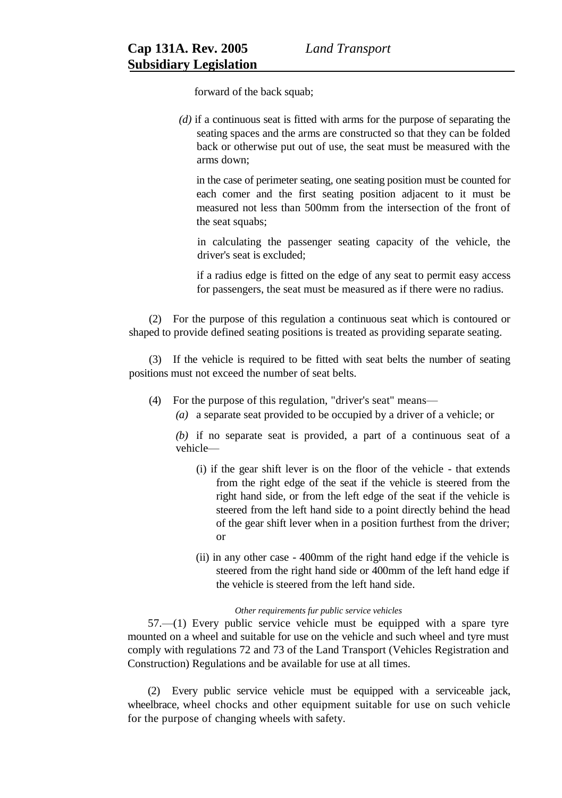forward of the back squab;

*(d)* if a continuous seat is fitted with arms for the purpose of separating the seating spaces and the arms are constructed so that they can be folded back or otherwise put out of use, the seat must be measured with the arms down;

in the case of perimeter seating, one seating position must be counted for each comer and the first seating position adjacent to it must be measured not less than 500mm from the intersection of the front of the seat squabs:

in calculating the passenger seating capacity of the vehicle, the driver's seat is excluded;

if a radius edge is fitted on the edge of any seat to permit easy access for passengers, the seat must be measured as if there were no radius.

(2) For the purpose of this regulation a continuous seat which is contoured or shaped to provide defined seating positions is treated as providing separate seating.

(3) If the vehicle is required to be fitted with seat belts the number of seating positions must not exceed the number of seat belts.

- (4) For the purpose of this regulation, "driver's seat" means—
	- *(a)* a separate seat provided to be occupied by a driver of a vehicle; or

*(b)* if no separate seat is provided, a part of a continuous seat of a vehicle—

- (i) if the gear shift lever is on the floor of the vehicle that extends from the right edge of the seat if the vehicle is steered from the right hand side, or from the left edge of the seat if the vehicle is steered from the left hand side to a point directly behind the head of the gear shift lever when in a position furthest from the driver; or
- (ii) in any other case 400mm of the right hand edge if the vehicle is steered from the right hand side or 400mm of the left hand edge if the vehicle is steered from the left hand side.

## *Other requirements fur public service vehicles*

57.—(1) Every public service vehicle must be equipped with a spare tyre mounted on a wheel and suitable for use on the vehicle and such wheel and tyre must comply with regulations 72 and 73 of the Land Transport (Vehicles Registration and Construction) Regulations and be available for use at all times.

(2) Every public service vehicle must be equipped with a serviceable jack, wheelbrace, wheel chocks and other equipment suitable for use on such vehicle for the purpose of changing wheels with safety.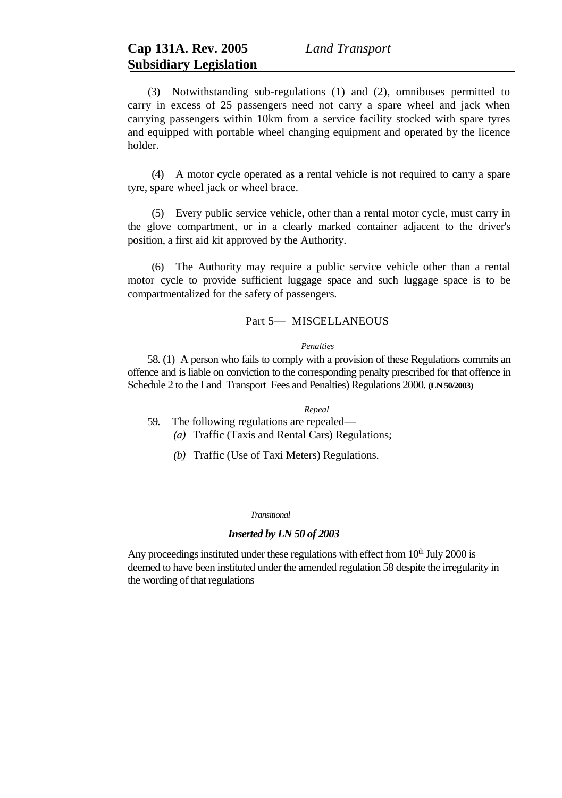(3) Notwithstanding sub-regulations (1) and (2), omnibuses permitted to carry in excess of 25 passengers need not carry a spare wheel and jack when carrying passengers within 10km from a service facility stocked with spare tyres and equipped with portable wheel changing equipment and operated by the licence holder.

(4) A motor cycle operated as a rental vehicle is not required to carry a spare tyre, spare wheel jack or wheel brace.

(5) Every public service vehicle, other than a rental motor cycle, must carry in the glove compartment, or in a clearly marked container adjacent to the driver's position, a first aid kit approved by the Authority.

(6) The Authority may require a public service vehicle other than a rental motor cycle to provide sufficient luggage space and such luggage space is to be compartmentalized for the safety of passengers.

# Part 5- MISCELLANEOUS

### *Penalties*

58. (1) A person who fails to comply with a provision of these Regulations commits an offence and is liable on conviction to the corresponding penalty prescribed for that offence in Schedule 2 to the Land Transport Fees and Penalties) Regulations 2000. **(LN 50/2003)**

#### *Repeal*

- 59. The following regulations are repealed—
	- *(a)* Traffic (Taxis and Rental Cars) Regulations;
	- *(b)* Traffic (Use of Taxi Meters) Regulations.

#### *Transitional*

## *Inserted by LN 50 of 2003*

Any proceedings instituted under these regulations with effect from  $10<sup>th</sup>$  July 2000 is deemed to have been instituted under the amended regulation 58 despite the irregularity in the wording of that regulations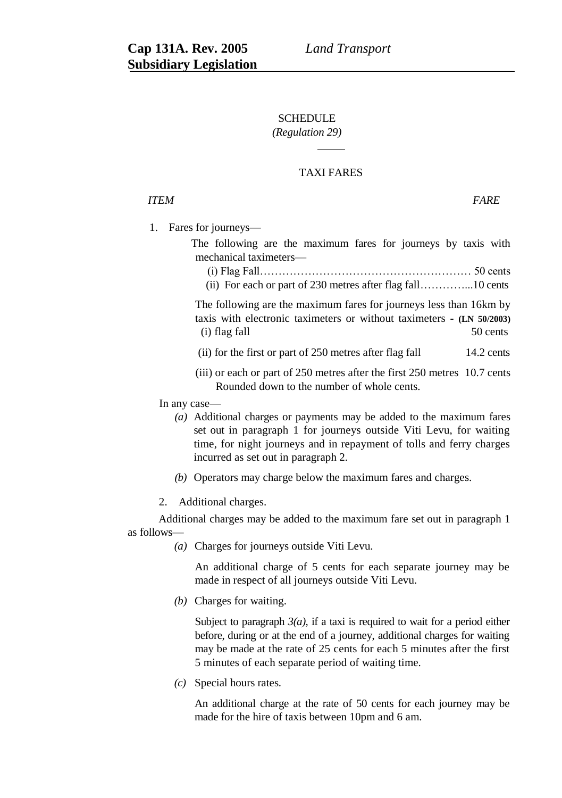# **SCHEDULE**

# *(Regulation 29)*

# TAXI FARES

# *ITEM FARE*

1. Fares for journeys—

The following are the maximum fares for journeys by taxis with mechanical taximeters—

- (i) Flag Fall………………………………………………… 50 cents
- (ii) For each or part of 230 metres after flag fall…………...10 cents

The following are the maximum fares for journeys less than 16km by taxis with electronic taximeters or without taximeters **- (LN 50/2003)** (i) flag fall 50 cents

- (ii) for the first or part of 250 metres after flag fall 14.2 cents
- (iii) or each or part of 250 metres after the first 250 metres 10.7 cents Rounded down to the number of whole cents.

In any case—

- *(a)* Additional charges or payments may be added to the maximum fares set out in paragraph 1 for journeys outside Viti Levu, for waiting time, for night journeys and in repayment of tolls and ferry charges incurred as set out in paragraph 2.
- *(b)* Operators may charge below the maximum fares and charges.
- 2. Additional charges.

Additional charges may be added to the maximum fare set out in paragraph 1 as follows—

*(a)* Charges for journeys outside Viti Levu.

An additional charge of 5 cents for each separate journey may be made in respect of all journeys outside Viti Levu.

*(b)* Charges for waiting.

Subject to paragraph  $3(a)$ , if a taxi is required to wait for a period either before, during or at the end of a journey, additional charges for waiting may be made at the rate of 25 cents for each 5 minutes after the first 5 minutes of each separate period of waiting time.

*(c)* Special hours rates.

An additional charge at the rate of 50 cents for each journey may be made for the hire of taxis between 10pm and 6 am.